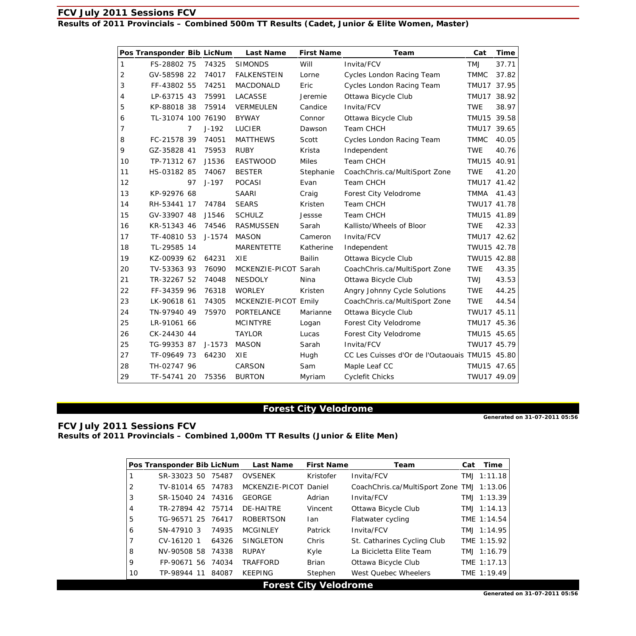**Results of 2011 Provincials – Combined 500m TT Results (Cadet, Junior & Elite Women, Master)** 

|    | Pos Transponder Bib LicNum |                |            | <b>Last Name</b>     | <b>First Name</b> | Team                                           | Cat         | <b>Time</b> |
|----|----------------------------|----------------|------------|----------------------|-------------------|------------------------------------------------|-------------|-------------|
| 1  | FS-28802 75                |                | 74325      | <b>SIMONDS</b>       | Will              | Invita/FCV                                     | <b>LMT</b>  | 37.71       |
| 2  | GV-58598 22                |                | 74017      | <b>FALKENSTEIN</b>   | Lorne             | Cycles London Racing Team                      | <b>TMMC</b> | 37.82       |
| 3  | FF-43802 55                |                | 74251      | MACDONALD            | Eric              | Cycles London Racing Team                      | TMU17 37.95 |             |
| 4  | LP-63715 43                |                | 75991      | LACASSE              | Jeremie           | Ottawa Bicycle Club                            | TMU17 38.92 |             |
| 5  | KP-88018 38                |                | 75914      | VERMEULEN            | Candice           | Invita/FCV                                     | <b>TWE</b>  | 38.97       |
| 6  | TL-31074 100 76190         |                |            | <b>BYWAY</b>         | Connor            | Ottawa Bicycle Club                            | TMU15 39.58 |             |
| 7  |                            | $\overline{7}$ | $J-192$    | <b>LUCIER</b>        | Dawson            | Team CHCH                                      | TMU17 39.65 |             |
| 8  | FC-21578 39                |                | 74051      | <b>MATTHEWS</b>      | Scott             | Cycles London Racing Team                      | <b>TMMC</b> | 40.05       |
| 9  | GZ-35828 41                |                | 75953      | <b>RUBY</b>          | Krista            | Independent                                    | <b>TWE</b>  | 40.76       |
| 10 | TP-71312 67                |                | J1536      | EASTWOOD             | <b>Miles</b>      | Team CHCH                                      | TMU15 40.91 |             |
| 11 | HS-03182 85                |                | 74067      | <b>BESTER</b>        | Stephanie         | CoachChris.ca/MultiSport Zone                  | <b>TWE</b>  | 41.20       |
| 12 |                            | 97             | $J-197$    | <b>POCASI</b>        | Evan              | Team CHCH                                      | TMU17 41.42 |             |
| 13 | KP-92976 68                |                |            | <b>SAARI</b>         | Craig             | Forest City Velodrome                          | <b>TMMA</b> | 41.43       |
| 14 | RH-53441 17                |                | 74784      | <b>SEARS</b>         | Kristen           | Team CHCH                                      | TWU17 41.78 |             |
| 15 | GV-33907 48                |                | J1546      | <b>SCHULZ</b>        | Jessse            | Team CHCH                                      | TMU15 41.89 |             |
| 16 | KR-51343 46                |                | 74546      | <b>RASMUSSEN</b>     | Sarah             | Kallisto/Wheels of Bloor                       | <b>TWE</b>  | 42.33       |
| 17 | TF-40810 53                |                | $J - 1574$ | <b>MASON</b>         | Cameron           | Invita/FCV                                     | TMU17 42.62 |             |
| 18 | TL-29585 14                |                |            | <b>MARENTETTE</b>    | Katherine         | Independent                                    | TWU15 42.78 |             |
| 19 | KZ-00939 62                |                | 64231      | XIE                  | <b>Bailin</b>     | Ottawa Bicycle Club                            | TWU15 42.88 |             |
| 20 | TV-53363 93                |                | 76090      | MCKENZIE-PICOT Sarah |                   | CoachChris.ca/MultiSport Zone                  | <b>TWE</b>  | 43.35       |
| 21 | TR-32267 52                |                | 74048      | <b>NESDOLY</b>       | Nina              | Ottawa Bicycle Club                            | <b>TWJ</b>  | 43.53       |
| 22 | FF-34359 96                |                | 76318      | <b>WORLEY</b>        | Kristen           | Angry Johnny Cycle Solutions                   | <b>TWE</b>  | 44.25       |
| 23 | LK-90618 61                |                | 74305      | MCKENZIE-PICOT Emily |                   | CoachChris.ca/MultiSport Zone                  | <b>TWE</b>  | 44.54       |
| 24 | TN-97940 49                |                | 75970      | PORTELANCE           | Marianne          | Ottawa Bicycle Club                            | TWU17 45.11 |             |
| 25 | LR-91061 66                |                |            | <b>MCINTYRE</b>      | Logan             | Forest City Velodrome                          | TMU17 45.36 |             |
| 26 | CK-24430 44                |                |            | <b>TAYLOR</b>        | Lucas             | Forest City Velodrome                          | TMU15 45.65 |             |
| 25 | TG-99353 87                |                | $J-1573$   | MASON                | Sarah             | Invita/FCV                                     | TWU17 45.79 |             |
| 27 | TF-09649 73                |                | 64230      | XIE                  | Hugh              | CC Les Cuisses d'Or de l'Outaouais TMU15 45.80 |             |             |
| 28 | TH-02747 96                |                |            | CARSON               | Sam               | Maple Leaf CC                                  | TMU15 47.65 |             |
| 29 | TF-54741 20                |                | 75356      | <b>BURTON</b>        | Myriam            | <b>Cyclefit Chicks</b>                         | TWU17 49.09 |             |

# **Forest City Velodrome**

**Generated on 31-07-2011 05:56** 

**FCV July 2011 Sessions FCV Results of 2011 Provincials – Combined 1,000m TT Results (Junior & Elite Men)** 

|    | Pos Transponder Bib LicNum |       | <b>Last Name</b> | <b>First Name</b>                               | Team                                      | Cat Time    |
|----|----------------------------|-------|------------------|-------------------------------------------------|-------------------------------------------|-------------|
|    | SR-33023 50                | 75487 | <b>OVSENEK</b>   | Kristofer                                       | Invita/FCV                                | TMJ 1:11.18 |
| 2  | TV-81014 65 74783          |       | MCKENZIE-PICOT   | Daniel                                          | CoachChris.ca/MultiSport Zone TMJ 1:13.06 |             |
| 3  | SR-15040 24                | 74316 | <b>GEORGE</b>    | Adrian                                          | Invita/FCV                                | TMJ 1:13.39 |
| 4  | TR-27894 42 75714          |       | DE-HAITRE        | Vincent                                         | Ottawa Bicycle Club                       | TMJ 1:14.13 |
| 5  | TG-96571 25                | 76417 | <b>ROBERTSON</b> | lan                                             | Flatwater cycling                         | TME 1:14.54 |
| 6  | SN-47910 3                 | 74935 | <b>MCGINLEY</b>  | Patrick                                         | Invita/FCV                                | TMJ 1:14.95 |
| 7  | CV-16120 1                 | 64326 | <b>SINGLETON</b> | Chris                                           | St. Catharines Cycling Club               | TME 1:15.92 |
| 8  | NV-90508 58                | 74338 | <b>RUPAY</b>     | Kyle                                            | La Bicicletta Elite Team                  | TMJ 1:16.79 |
| 9  | FP-90671 56 74034          |       | <b>TRAFFORD</b>  | Brian                                           | Ottawa Bicycle Club                       | TME 1:17.13 |
| 10 | TP-98944 11                | 84087 | <b>KEEPING</b>   | Stephen                                         | West Quebec Wheelers                      | TME 1:19.49 |
|    |                            |       |                  | $\Gamma$ and at $\Omega$ it. Use the discuss of |                                           |             |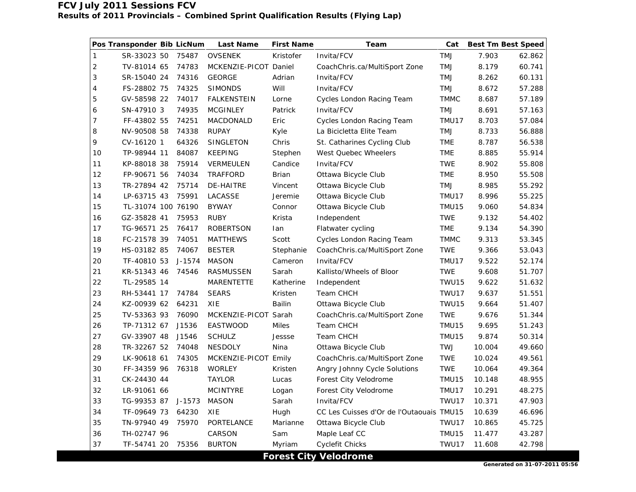|                           | Pos Transponder Bib LicNum |            | <b>Last Name</b>      | <b>First Name</b> | Team                                           | Cat         | <b>Best Tm Best Speed</b> |        |
|---------------------------|----------------------------|------------|-----------------------|-------------------|------------------------------------------------|-------------|---------------------------|--------|
| $\mathbf{1}$              | SR-33023 50                | 75487      | <b>OVSENEK</b>        | Kristofer         | Invita/FCV                                     | TMJ         | 7.903                     | 62.862 |
| $\overline{c}$            | TV-81014 65                | 74783      | MCKENZIE-PICOT Daniel |                   | CoachChris.ca/MultiSport Zone                  | <b>TMJ</b>  | 8.179                     | 60.741 |
| $\ensuremath{\mathsf{3}}$ | SR-15040 24                | 74316      | <b>GEORGE</b>         | Adrian            | Invita/FCV                                     | <b>LMT</b>  | 8.262                     | 60.131 |
| 4                         | FS-28802 75                | 74325      | <b>SIMONDS</b>        | Will              | Invita/FCV                                     | TMJ         | 8.672                     | 57.288 |
| 5                         | GV-58598 22                | 74017      | <b>FALKENSTEIN</b>    | Lorne             | Cycles London Racing Team                      | <b>TMMC</b> | 8.687                     | 57.189 |
| 6                         | SN-47910 3                 | 74935      | <b>MCGINLEY</b>       | Patrick           | Invita/FCV                                     | <b>TMJ</b>  | 8.691                     | 57.163 |
| $\overline{7}$            | FF-43802 55                | 74251      | MACDONALD             | Eric              | Cycles London Racing Team                      | TMU17       | 8.703                     | 57.084 |
| 8                         | NV-90508 58                | 74338      | <b>RUPAY</b>          | Kyle              | La Bicicletta Elite Team                       | TMJ         | 8.733                     | 56.888 |
| 9                         | CV-16120 1                 | 64326      | SINGLETON             | Chris             | St. Catharines Cycling Club                    | <b>TME</b>  | 8.787                     | 56.538 |
| 10                        | TP-98944 11                | 84087      | <b>KEEPING</b>        | Stephen           | West Quebec Wheelers                           | TME         | 8.885                     | 55.914 |
| 11                        | KP-88018 38                | 75914      | VERMEULEN             | Candice           | Invita/FCV                                     | <b>TWE</b>  | 8.902                     | 55.808 |
| 12                        | FP-90671 56                | 74034      | <b>TRAFFORD</b>       | <b>Brian</b>      | Ottawa Bicycle Club                            | TME         | 8.950                     | 55.508 |
| 13                        | TR-27894 42                | 75714      | <b>DE-HAITRE</b>      | Vincent           | Ottawa Bicycle Club                            | <b>TMJ</b>  | 8.985                     | 55.292 |
| 14                        | LP-63715 43                | 75991      | <b>LACASSE</b>        | Jeremie           | Ottawa Bicycle Club                            | TMU17       | 8.996                     | 55.225 |
| 15                        | TL-31074 100 76190         |            | <b>BYWAY</b>          | Connor            | Ottawa Bicycle Club                            | TMU15       | 9.060                     | 54.834 |
| 16                        | GZ-35828 41                | 75953      | <b>RUBY</b>           | Krista            | Independent                                    | <b>TWE</b>  | 9.132                     | 54.402 |
| 17                        | TG-96571 25                | 76417      | <b>ROBERTSON</b>      | lan               | Flatwater cycling                              | <b>TME</b>  | 9.134                     | 54.390 |
| 18                        | FC-21578 39                | 74051      | <b>MATTHEWS</b>       | Scott             | Cycles London Racing Team                      | <b>TMMC</b> | 9.313                     | 53.345 |
| 19                        | HS-03182 85                | 74067      | <b>BESTER</b>         | Stephanie         | CoachChris.ca/MultiSport Zone                  | <b>TWE</b>  | 9.366                     | 53.043 |
| 20                        | TF-40810 53                | J-1574     | <b>MASON</b>          | Cameron           | Invita/FCV                                     | TMU17       | 9.522                     | 52.174 |
| 21                        | KR-51343 46                | 74546      | RASMUSSEN             | Sarah             | Kallisto/Wheels of Bloor                       | <b>TWE</b>  | 9.608                     | 51.707 |
| 22                        | TL-29585 14                |            | <b>MARENTETTE</b>     | Katherine         | Independent                                    | TWU15       | 9.622                     | 51.632 |
| 23                        | RH-53441 17                | 74784      | <b>SEARS</b>          | Kristen           | Team CHCH                                      | TWU17       | 9.637                     | 51.551 |
| 24                        | KZ-00939 62                | 64231      | XIE                   | <b>Bailin</b>     | Ottawa Bicycle Club                            | TWU15       | 9.664                     | 51.407 |
| 25                        | TV-53363 93                | 76090      | MCKENZIE-PICOT Sarah  |                   | CoachChris.ca/MultiSport Zone                  | <b>TWE</b>  | 9.676                     | 51.344 |
| 26                        | TP-71312 67                | J1536      | <b>EASTWOOD</b>       | <b>Miles</b>      | Team CHCH                                      | TMU15       | 9.695                     | 51.243 |
| 27                        | GV-33907 48                | J1546      | <b>SCHULZ</b>         | Jessse            | Team CHCH                                      | TMU15       | 9.874                     | 50.314 |
| 28                        | TR-32267 52                | 74048      | <b>NESDOLY</b>        | Nina              | Ottawa Bicycle Club                            | <b>TWJ</b>  | 10.004                    | 49.660 |
| 29                        | LK-90618 61                | 74305      | MCKENZIE-PICOT Emily  |                   | CoachChris.ca/MultiSport Zone                  | <b>TWE</b>  | 10.024                    | 49.561 |
| 30                        | FF-34359 96                | 76318      | <b>WORLEY</b>         | Kristen           | Angry Johnny Cycle Solutions                   | <b>TWE</b>  | 10.064                    | 49.364 |
| 31                        | CK-24430 44                |            | <b>TAYLOR</b>         | Lucas             | Forest City Velodrome                          | TMU15       | 10.148                    | 48.955 |
| 32                        | LR-91061 66                |            | <b>MCINTYRE</b>       | Logan             | Forest City Velodrome                          | TMU17       | 10.291                    | 48.275 |
| 33                        | TG-99353 87                | $J - 1573$ | <b>MASON</b>          | Sarah             | Invita/FCV                                     | TWU17       | 10.371                    | 47.903 |
| 34                        | TF-09649 73                | 64230      | XIE                   | Hugh              | CC Les Cuisses d'Or de l'Outaouais TMU15       |             | 10.639                    | 46.696 |
| 35                        | TN-97940 49                | 75970      | PORTELANCE            | Marianne          | Ottawa Bicycle Club                            | TWU17       | 10.865                    | 45.725 |
| 36                        | TH-02747 96                |            | CARSON                | Sam               | Maple Leaf CC                                  | TMU15       | 11.477                    | 43.287 |
| 37                        | TF-54741 20                | 75356      | <b>BURTON</b>         | Myriam            | Cyclefit Chicks<br>$\sim$ $\sim$ $\sim$ $\sim$ | TWU17       | 11.608                    | 42.798 |

**Forest City Velodrome**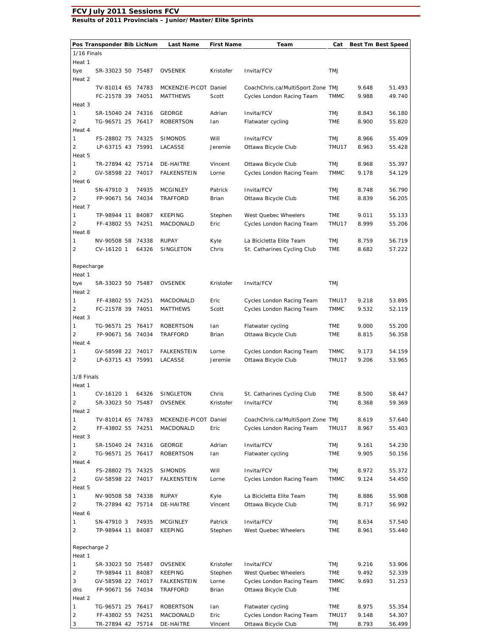#### **FCV July 2011 Sessions FCV Results of 2011 Provincials – Junior/Master/Elite Sprints**

**Pos Transponder Bib LicNum Last Name First Name Team Cat Best Tm Best Speed** 1/16 Finals Heat 1 bye SR-33023 50 75487 OVSENEK Kristofer Invita/FCV TMJ Heat 2 TV-81014 65 74783 MCKENZIE-PICOT Daniel CoachChris.ca/MultiSport Zone TMJ 9.648 51.493 FC-21578 39 74051 MATTHEWS Scott Cycles London Racing Team TMMC 9.988 49.740 Heat 3 1 SR-15040 24 74316 GEORGE Adrian Invita/FCV TMJ 8.843 56.180 2 TG-96571 25 76417 ROBERTSON Ian Flatwater cycling TME 8.900 55.820 Heat 4 1 FS-28802 75 74325 SIMONDS Will Invita/FCV TMJ 8.966 55.409 2 LP-63715 43 75991 LACASSE Jeremie Ottawa Bicycle Club TMU17 8.963 55.428 Heat 5 1 TR-27894 42 75714 DE-HAITRE Vincent Ottawa Bicycle Club TMJ 8.968 55.397 2 GV-58598 22 74017 FALKENSTEIN Lorne Cycles London Racing Team TMMC 9.178 54.129 Heat 6 1 SN-47910 3 74935 MCGINLEY Patrick Invita/FCV TMJ 8.748 56.790 2 FP-90671 56 74034 TRAFFORD Brian Ottawa Bicycle Club TME 8.839 56.205 Heat 7 1 TP-98944 11 84087 KEEPING Stephen West Quebec Wheelers TME 9.011 55.133 2 FF-43802 55 74251 MACDONALD Eric Cycles London Racing Team TMU17 8.999 55.206 Heat 8 1 NV-90508 58 74338 RUPAY Kyle La Bicicletta Elite Team TMJ 8.759 56.719 2 CV-16120 1 64326 SINGLETON Chris St. Catharines Cycling Club TME 8.682 57.222 Repecharge Heat 1 bye SR-33023 50 75487 OVSENEK Kristofer Invita/FCV TMJ Heat 2 1 FF-43802 55 74251 MACDONALD Eric Cycles London Racing Team TMU17 9.218 53.895 2 FC-21578 39 74051 MATTHEWS Scott Cycles London Racing Team TMMC 9.532 52.119 Heat 3 1 TG-96571 25 76417 ROBERTSON Ian Flatwater cycling TME 9.000 55.200 2 FP-90671 56 74034 TRAFFORD Brian Ottawa Bicycle Club TME 8.815 56.358 Heat 4 1 GV-58598 22 74017 FALKENSTEIN Lorne Cycles London Racing Team TMMC 9.173 54.159 2 LP-63715 43 75991 LACASSE Jeremie Ottawa Bicycle Club TMU17 9.206 53.965 1/8 Finals Heat 1 1 CV-16120 1 64326 SINGLETON Chris St. Catharines Cycling Club TME 8.500 58.447 2 SR-33023 50 75487 OVSENEK Kristofer Invita/FCV TMJ 8.368 59.369 Heat 2 1 TV-81014 65 74783 MCKENZIE-PICOT Daniel CoachChris.ca/MultiSport Zone TMJ 8.619 57.640 2 FF-43802 55 74251 MACDONALD Eric Cycles London Racing Team TMU17 8.967 55.403 Heat 3 1 SR-15040 24 74316 GEORGE Adrian Invita/FCV TMJ 9.161 54.230 2 TG-96571 25 76417 ROBERTSON Ian Flatwater cycling TME 9.905 50.156 Heat 4 1 FS-28802 75 74325 SIMONDS Will Invita/FCV TMJ 8.972 55.372 2 GV-58598 22 74017 FALKENSTEIN Lorne Cycles London Racing Team TMMC 9.124 54.450 Heat 5 1 NV-90508 58 74338 RUPAY Kyle La Bicicletta Elite Team TMJ 8.886 55.908 2 TR-27894 42 75714 DE-HAITRE Vincent Ottawa Bicycle Club TMJ 8.717 56.992 Heat 6 1 SN-47910 3 74935 MCGINLEY Patrick Invita/FCV TMJ 8.634 57.540 2 TP-98944 11 84087 KEEPING Stephen West Quebec Wheelers TME 8.961 55.440 Repecharge 2 Heat 1 1 SR-33023 50 75487 OVSENEK Kristofer Invita/FCV TMJ 9.216 53.906 2 TP-98944 11 84087 KEEPING Stephen West Quebec Wheelers TME 9.492 52.339 3 GV-58598 22 74017 FALKENSTEIN Lorne Cycles London Racing Team TMMC 9.693 51.253 dns FP-90671 56 74034 TRAFFORD Brian Ottawa Bicycle Club TME Heat 2 1 TG-96571 25 76417 ROBERTSON Ian Flatwater cycling TME 8.975 55.354 2 FF-43802 55 74251 MACDONALD Eric Cycles London Racing Team TMU17 9.148 54.307 3 TR-27894 42 75714 DE-HAITRE Vincent Ottawa Bicycle Club TMJ 8.793 56.499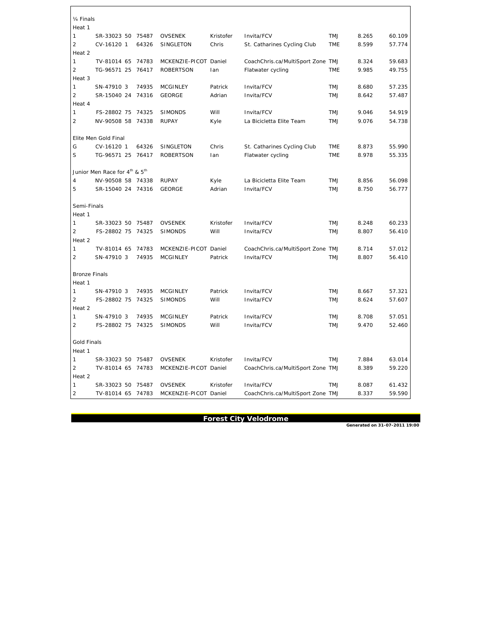¼ Finals Heat 1 1 SR-33023 50 75487 OVSENEK Kristofer Invita/FCV TMJ 8.265 60.109 2 CV-16120 1 64326 SINGLETON Chris St. Catharines Cycling Club TME 8.599 57.774 Heat 2 1 TV-81014 65 74783 MCKENZIE-PICOT Daniel CoachChris.ca/MultiSport Zone TMJ 8.324 59.683 2 TG-96571 25 76417 ROBERTSON Ian Flatwater cycling TME 9.985 49.755 Heat 3 1 SN-47910 3 74935 MCGINLEY Patrick Invita/FCV TMJ 8.680 57.235 2 SR-15040 24 74316 GEORGE Adrian Invita/FCV TMJ 8.642 57.487 Heat 4 1 FS-28802 75 74325 SIMONDS Will Invita/FCV TMJ 9.046 54.919 2 NV-90508 58 74338 RUPAY Kyle La Bicicletta Elite Team TMJ 9.076 54.738 Elite Men Gold Final G CV-16120 1 64326 SINGLETON Chris St. Catharines Cycling Club TME 8.873 55.990 S TG-96571 25 76417 ROBERTSON Ian Flatwater cycling TME 8.978 55.335 Junior Men Race for 4<sup>th</sup> & 5<sup>th</sup> 4 NV-90508 58 74338 RUPAY Kyle La Bicicletta Elite Team TMJ 8.856 56.098 5 SR-15040 24 74316 GEORGE Adrian Invita/FCV TMJ 8.750 56.777 Semi-Finals Heat 1 1 SR-33023 50 75487 OVSENEK Kristofer Invita/FCV TMJ 8.248 60.233 2 FS-28802 75 74325 SIMONDS Will Invita/FCV TMJ 8.807 56.410 Heat 2 1 TV-81014 65 74783 MCKENZIE-PICOT Daniel CoachChris.ca/MultiSport Zone TMJ 8.714 57.012 2 SN-47910 3 74935 MCGINLEY Patrick Invita/FCV TMJ 8.807 56.410 Bronze Finals Heat 1 1 SN-47910 3 74935 MCGINLEY Patrick Invita/FCV TMJ 8.667 57.321 2 FS-28802 75 74325 SIMONDS Will Invita/FCV TMJ 8.624 57.607 Heat 2 1 SN-47910 3 74935 MCGINLEY Patrick Invita/FCV TMJ 8.708 57.051 2 FS-28802 75 74325 SIMONDS Will Invita/FCV TMJ 9.470 52.460 Gold Finals Heat 1 1 SR-33023 50 75487 OVSENEK Kristofer Invita/FCV TMJ 7.884 63.014 2 TV-81014 65 74783 MCKENZIE-PICOT Daniel CoachChris.ca/MultiSport Zone TMJ 8.389 59.220 Heat 2 1 SR-33023 50 75487 OVSENEK Kristofer Invita/FCV TMJ 8.087 61.432 2 TV-81014 65 74783 MCKENZIE-PICOT Daniel CoachChris.ca/MultiSport Zone TMJ 8.337 59.590

**Forest City Velodrome**<br>Generated on 31-07-2011 19:00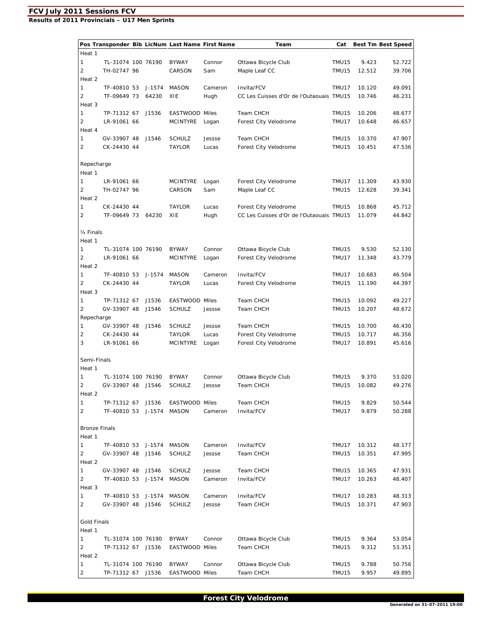**Results of 2011 Provincials – U17 Men Sprints** 

|                        |                    |        | Pos Transponder Bib LicNum Last Name First Name |         | Team                                     | Cat   |        | <b>Best Tm Best Speed</b> |
|------------------------|--------------------|--------|-------------------------------------------------|---------|------------------------------------------|-------|--------|---------------------------|
| Heat 1                 |                    |        |                                                 |         |                                          |       |        |                           |
| 1                      | TL-31074 100 76190 |        | <b>BYWAY</b>                                    | Connor  | Ottawa Bicycle Club                      | TMU15 | 9.423  | 52.722                    |
| 2                      | TH-02747 96        |        | CARSON                                          | Sam     | Maple Leaf CC                            | TMU15 | 12.512 | 39.706                    |
| Heat 2                 |                    |        |                                                 |         |                                          |       |        |                           |
| 1                      | TF-40810 53        | J-1574 | <b>MASON</b>                                    | Cameron | Invita/FCV                               | TMU17 | 10.120 | 49.091                    |
| 2                      | TF-09649 73        | 64230  | XIE                                             | Hugh    | CC Les Cuisses d'Or de l'Outaouais TMU15 |       | 10.746 | 46.231                    |
| Heat 3                 |                    |        |                                                 |         |                                          |       |        |                           |
| 1                      | TP-71312 67        | J1536  | EASTWOOD Miles                                  |         | Team CHCH                                | TMU15 | 10.206 | 48.677                    |
| 2                      | LR-91061 66        |        | <b>MCINTYRE</b>                                 | Logan   | Forest City Velodrome                    | TMU17 | 10.648 | 46.657                    |
| Heat 4                 |                    |        |                                                 |         |                                          |       |        |                           |
| 1                      | GV-33907 48        | J1546  | <b>SCHULZ</b>                                   | Jessse  | Team CHCH                                | TMU15 | 10.370 | 47.907                    |
| 2                      | CK-24430 44        |        | TAYLOR                                          | Lucas   | Forest City Velodrome                    | TMU15 | 10.451 | 47.536                    |
|                        |                    |        |                                                 |         |                                          |       |        |                           |
| Repecharge             |                    |        |                                                 |         |                                          |       |        |                           |
| Heat 1                 |                    |        |                                                 |         |                                          |       |        |                           |
| 1                      | LR-91061 66        |        | <b>MCINTYRE</b>                                 | Logan   | Forest City Velodrome                    | TMU17 | 11.309 | 43.930                    |
| 2                      | TH-02747 96        |        | CARSON                                          | Sam     | Maple Leaf CC                            | TMU15 | 12.628 | 39.341                    |
| Heat 2                 |                    |        |                                                 |         |                                          |       |        |                           |
| 1                      | CK-24430 44        |        | <b>TAYLOR</b>                                   | Lucas   | Forest City Velodrome                    | TMU15 | 10.868 | 45.712                    |
| $\overline{2}$         | TF-09649 73        | 64230  | XIE                                             | Hugh    | CC Les Cuisses d'Or de l'Outaouais TMU15 |       | 11.079 | 44.842                    |
|                        |                    |        |                                                 |         |                                          |       |        |                           |
| 1/ <sub>4</sub> Finals |                    |        |                                                 |         |                                          |       |        |                           |
| Heat 1                 |                    |        |                                                 |         |                                          |       |        |                           |
| 1                      | TL-31074 100 76190 |        | <b>BYWAY</b>                                    | Connor  | Ottawa Bicycle Club                      | TMU15 | 9.530  | 52.130                    |
| 2                      | LR-91061 66        |        | <b>MCINTYRE</b>                                 | Logan   | Forest City Velodrome                    | TMU17 | 11.348 | 43.779                    |
| Heat 2                 |                    |        |                                                 |         |                                          |       |        |                           |
| 1                      | TF-40810 53        | J-1574 | <b>MASON</b>                                    | Cameron | Invita/FCV                               | TMU17 | 10.683 | 46.504                    |
| $\overline{2}$         | CK-24430 44        |        | <b>TAYLOR</b>                                   | Lucas   | Forest City Velodrome                    | TMU15 | 11.190 | 44.397                    |
| Heat 3                 |                    |        |                                                 |         |                                          |       |        |                           |
| 1                      | TP-71312 67        | J1536  | EASTWOOD Miles                                  |         | Team CHCH                                | TMU15 | 10.092 | 49.227                    |
| 2                      | GV-33907 48        | J1546  | <b>SCHULZ</b>                                   | Jessse  | Team CHCH                                | TMU15 | 10.207 | 48.672                    |
| Repecharge             |                    |        |                                                 |         |                                          |       |        |                           |
| 1                      | GV-33907 48        | J1546  | <b>SCHULZ</b>                                   | Jessse  | Team CHCH                                | TMU15 | 10.700 | 46.430                    |
| 2                      | CK-24430 44        |        | <b>TAYLOR</b>                                   | Lucas   | Forest City Velodrome                    | TMU15 | 10.717 | 46.356                    |
| 3                      | LR-91061 66        |        | <b>MCINTYRE</b>                                 | Logan   | Forest City Velodrome                    | TMU17 | 10.891 | 45.616                    |
|                        |                    |        |                                                 |         |                                          |       |        |                           |
| Semi-Finals            |                    |        |                                                 |         |                                          |       |        |                           |
| Heat 1                 |                    |        |                                                 |         |                                          |       |        |                           |
| 1                      | TL-31074 100 76190 |        | <b>BYWAY</b>                                    | Connor  | Ottawa Bicycle Club                      | TMU15 | 9.370  | 53.020                    |
| 2                      | GV-33907 48        | J1546  | <b>SCHULZ</b>                                   | Jessse  | Team CHCH                                | TMU15 | 10.082 | 49.276                    |
| Heat 2                 |                    |        |                                                 |         |                                          |       |        |                           |
| 1                      | TP-71312 67 J1536  |        | EASTWOOD Miles                                  |         | Team CHCH                                | TMU15 | 9.829  | 50.544                    |
| $\overline{2}$         | TF-40810 53        | J-1574 | <b>MASON</b>                                    | Cameron | Invita/FCV                               | TMU17 | 9.879  | 50.288                    |
|                        |                    |        |                                                 |         |                                          |       |        |                           |
| <b>Bronze Finals</b>   |                    |        |                                                 |         |                                          |       |        |                           |
| Heat 1                 |                    |        |                                                 |         |                                          |       |        |                           |
| 1                      | TF-40810 53 J-1574 |        | MASON                                           | Cameron | Invita/FCV                               | TMU17 | 10.312 | 48.177                    |
| 2                      | GV-33907 48        | J1546  | <b>SCHULZ</b>                                   | Jessse  | Team CHCH                                | TMU15 | 10.351 | 47.995                    |
| Heat 2                 |                    |        |                                                 |         |                                          |       |        |                           |
| $\mathbf{1}$           | GV-33907 48        | J1546  | <b>SCHULZ</b>                                   | Jessse  | Team CHCH                                | TMU15 | 10.365 | 47.931                    |
| $\overline{2}$         | TF-40810 53        | J-1574 | <b>MASON</b>                                    | Cameron | Invita/FCV                               | TMU17 | 10.263 | 48.407                    |
| Heat 3                 |                    |        |                                                 |         |                                          |       |        |                           |
| 1                      | TF-40810 53        | J-1574 | MASON                                           | Cameron | Invita/FCV                               | TMU17 | 10.283 | 48.313                    |
| $\overline{2}$         | GV-33907 48 J1546  |        | <b>SCHULZ</b>                                   | Jessse  | Team CHCH                                | TMU15 | 10.371 | 47.903                    |
|                        |                    |        |                                                 |         |                                          |       |        |                           |
| <b>Gold Finals</b>     |                    |        |                                                 |         |                                          |       |        |                           |
| Heat 1                 |                    |        |                                                 |         |                                          |       |        |                           |
| 1                      | TL-31074 100 76190 |        | <b>BYWAY</b>                                    | Connor  | Ottawa Bicycle Club                      | TMU15 | 9.364  | 53.054                    |
| 2                      | TP-71312 67 J1536  |        | EASTWOOD Miles                                  |         | Team CHCH                                | TMU15 | 9.312  | 53.351                    |
| Heat 2                 |                    |        |                                                 |         |                                          |       |        |                           |
| 1                      | TL-31074 100 76190 |        | BYWAY                                           | Connor  | Ottawa Bicycle Club                      | TMU15 | 9.788  | 50.756                    |
| $\overline{2}$         | TP-71312 67 J1536  |        | EASTWOOD Miles                                  |         | Team CHCH                                | TMU15 | 9.957  | 49.895                    |

**Forest City Velodrome** Generated on 31-07-2011 19:00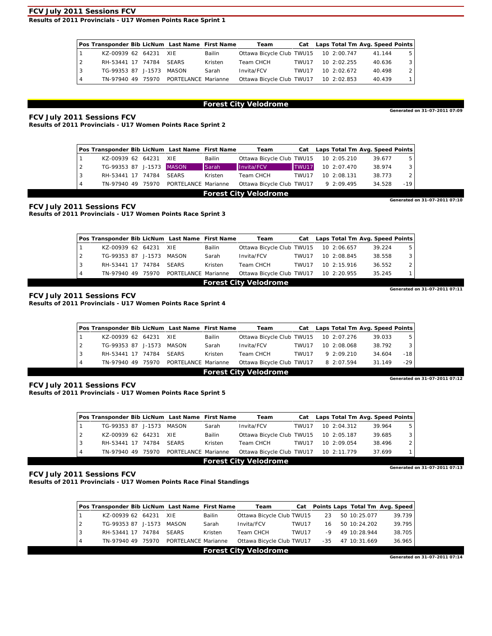**Results of 2011 Provincials - U17 Women Points Race Sprint 1** 

|    | Pos Transponder Bib LicNum Last Name First Name |  |                                       |         | Team                                  |        |              | Cat Laps Total Tm Avg. Speed Points |     |
|----|-------------------------------------------------|--|---------------------------------------|---------|---------------------------------------|--------|--------------|-------------------------------------|-----|
|    | KZ-00939 62 64231 XIE                           |  |                                       | Bailin  | Ottawa Bicycle Club TWU15 10 2:00.747 |        |              | 41.144                              | 5   |
| 12 | RH-53441 17 74784                               |  | <b>SEARS</b>                          | Kristen | Team CHCH                             | TWU117 | 10, 2:02.255 | 40.636                              | 3 I |
| 3  | TG-99353 87 J-1573 MASON                        |  |                                       | Sarah   | Invita/FCV                            | TWU117 | 10, 2:02.672 | 40.498                              | 2   |
|    |                                                 |  | TN-97940 49 75970 PORTELANCE Marianne |         | Ottawa Bicycle Club TWU17 10 2:02.853 |        |              | 40.439                              |     |

# **Forest City Velodrome** Generated on 31-07-2011 07:09

**FCV July 2011 Sessions FCV** 

**Results of 2011 Provincials - U17 Women Points Race Sprint 2** 

|                | Pos Transponder Bib LicNum Last Name First Name |  |                     |         | Team                         | Cat   |              | Laps Total Tm Avg. Speed Points |                               |
|----------------|-------------------------------------------------|--|---------------------|---------|------------------------------|-------|--------------|---------------------------------|-------------------------------|
|                | KZ-00939 62 64231 XIE                           |  |                     | Bailin  | Ottawa Bicycle Club TWU15    |       | 10 2:05.210  | 39.677                          | 5                             |
| $\overline{2}$ | TG-99353 87 J-1573 MASON                        |  |                     | Sarah   | Invita/FCV                   | TWU17 | 10, 2:07.470 | 38.974                          | 3                             |
| 3              | RH-53441 17 74784                               |  | <b>SEARS</b>        | Kristen | Team CHCH                    | TWU17 | 10, 2:08.131 | 38.773                          |                               |
| 4              | TN-97940 49 75970                               |  | PORTELANCE Marianne |         | Ottawa Bicycle Club TWU17    |       | 9 2:09.495   | 34.528                          | $-19$                         |
|                |                                                 |  |                     |         | <b>Forest City Velodrome</b> |       |              |                                 |                               |
|                |                                                 |  |                     |         |                              |       |              |                                 | Generated on 31-07-2011 07:10 |

#### **FCV July 2011 Sessions FCV**

**Results of 2011 Provincials - U17 Women Points Race Sprint 3** 

|                               | Pos Transponder Bib LicNum Last Name First Name |  |  |                     |         | Team                                  | Cat   | Laps Total Tm Avg. Speed Points |        |   |
|-------------------------------|-------------------------------------------------|--|--|---------------------|---------|---------------------------------------|-------|---------------------------------|--------|---|
|                               | KZ-00939 62 64231                               |  |  | XIE                 | Bailin  | Ottawa Bicycle Club TWU15             |       | 10 2:06.657                     | 39.224 | 5 |
| $\overline{2}$                | TG-99353 87 J-1573                              |  |  | MASON               | Sarah   | Invita/FCV                            | TWU17 | 10, 2:08.845                    | 38.558 |   |
| 3                             | RH-53441 17 74784                               |  |  | <b>SEARS</b>        | Kristen | Team CHCH                             | TWU17 | 10, 2:15.916                    | 36.552 |   |
| 4                             | TN-97940 49 75970                               |  |  | PORTELANCE Marianne |         | Ottawa Bicycle Club TWU17 10 2:20.955 |       |                                 | 35.245 |   |
| <b>Forest City Velodrome</b>  |                                                 |  |  |                     |         |                                       |       |                                 |        |   |
| Generated on 31-07-2011 07:11 |                                                 |  |  |                     |         |                                       |       |                                 |        |   |

**FCV July 2011 Sessions FCV Results of 2011 Provincials - U17 Women Points Race Sprint 4** 

|    | Pos Transponder Bib LicNum Last Name First Name |  |                     |         | Team                                  |               |              | Cat Laps Total Tm Avg. Speed Points |       |
|----|-------------------------------------------------|--|---------------------|---------|---------------------------------------|---------------|--------------|-------------------------------------|-------|
|    | KZ-00939 62 64231 XIE                           |  |                     | Bailin  | Ottawa Bicycle Club TWU15 10 2:07.276 |               |              | 39.033                              | 5     |
| 12 | TG-99353 87 J-1573 MASON                        |  |                     | Sarah   | Invita/FCV                            | TWU17         | 10, 2:08.068 | 38.792                              |       |
|    | RH-53441 17 74784                               |  | <b>SEARS</b>        | Kristen | Team CHCH                             | <b>TWU117</b> | 9.209210     | 34.604                              | -18   |
|    | TN-97940 49 75970                               |  | PORTELANCE Marianne |         | Ottawa Bicycle Club TWU17             |               | 8 2:07.594   | 31.149                              | $-29$ |

# **Forest City Velodrome**<br>
Generated on 31-07-2011 07:12

**FCV July 2011 Sessions FCV Results of 2011 Provincials - U17 Women Points Race Sprint 5** 

|   | Pos Transponder Bib LicNum Last Name First Name |       |                     |         | Team                                  | Cat   |              |  |        | Laps Total Tm Avg. Speed Points |
|---|-------------------------------------------------|-------|---------------------|---------|---------------------------------------|-------|--------------|--|--------|---------------------------------|
|   | TG-99353 87 J-1573                              |       | MASON               | Sarah   | Invita/FCV                            | TWU17 | 10, 2:04.312 |  | 39.964 | 5                               |
| 2 | KZ-00939 62 64231                               |       | - XIE               | Bailin  | Ottawa Bicycle Club TWU15             |       | 10 2:05.187  |  | 39.685 | 3                               |
| 3 | RH-53441 17 74784                               |       | <b>SEARS</b>        | Kristen | Team CHCH                             | TWU17 | 10, 2:09.054 |  | 38.496 | 2                               |
| 4 | TN-97940 49                                     | 75970 | PORTELANCE Marianne |         | Ottawa Bicycle Club TWU17 10 2:11.779 |       |              |  | 37.699 |                                 |
|   |                                                 |       |                     |         | <b>Forest City Velodrome</b>          |       |              |  |        |                                 |
|   |                                                 |       |                     |         |                                       |       |              |  |        | Generated on 31-07-2011 07:13   |

#### **FCV July 2011 Sessions FCV**

**Results of 2011 Provincials - U17 Women Points Race Final Standings** 

|                | Pos Transponder Bib LicNum Last Name First Name |  |                     |         | Team                      |       |      |              | Cat Points Laps Total Tm Avg. Speed |
|----------------|-------------------------------------------------|--|---------------------|---------|---------------------------|-------|------|--------------|-------------------------------------|
|                | KZ-00939 62 64231                               |  | XIE                 | Bailin  | Ottawa Bicycle Club TWU15 |       | 23   | 50 10:25.077 | 39.739                              |
| $\overline{2}$ | TG-99353 87 J-1573                              |  | MASON               | Sarah   | Invita/FCV                | TWU17 | 16   | 50 10:24.202 | 39.795                              |
| 3              | RH-53441 17 74784                               |  | <b>SEARS</b>        | Kristen | Team CHCH                 | TWU17 | $-9$ | 49 10:28.944 | 38.705                              |
| $\overline{4}$ | TN-97940 49 75970                               |  | PORTELANCE Marianne |         | Ottawa Bicycle Club TWU17 |       | -35  | 47 10:31.669 | 36.965                              |
|                |                                                 |  |                     |         | Earnet City Valodramo     |       |      |              |                                     |

**FOREST CITY VEIODITOME**<br>Generated on 31-07-2011 07:14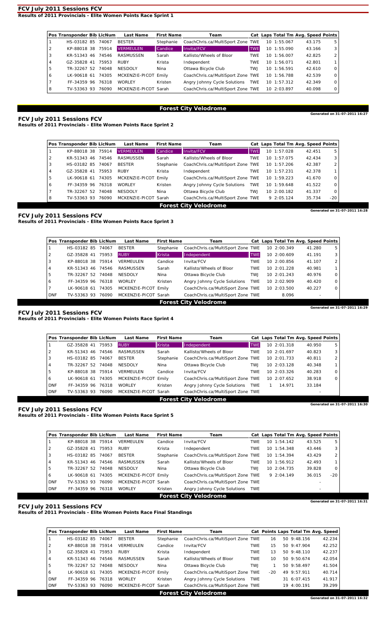**Results of 2011 Provincials - Elite Women Points Race Sprint 1** 

|   | Pos Transponder Bib LicNum |       | <b>Last Name</b>     | <b>First Name</b> | Team                              |            | Cat Laps Total Tm Avg. Speed Points |        |   |
|---|----------------------------|-------|----------------------|-------------------|-----------------------------------|------------|-------------------------------------|--------|---|
|   | HS-03182 85                | 74067 | <b>BESTER</b>        | Stephanie         | CoachChris.ca/MultiSport Zone TWE |            | 10 1:55.067                         | 43.175 | 5 |
|   | KP-88018 38                | 75914 | <b>VERMEULEN</b>     | Candice           | Invita/FCV                        | <b>TWE</b> | 10 1:55.090                         | 43.166 | 3 |
| 3 | KR-51343 46 74546          |       | RASMUSSEN            | Sarah             | Kallisto/Wheels of Bloor          | <b>TWE</b> | 10 1:56.007                         | 42.825 | 2 |
| 4 | GZ-35828 41                | 75953 | <b>RUBY</b>          | Krista            | Independent                       | <b>TWE</b> | 10 1:56.071                         | 42.801 |   |
| 5 | TR-32267 52                | 74048 | <b>NESDOLY</b>       | Nina              | Ottawa Bicycle Club               | TW.J       | 10, 1:56.591                        | 42.610 | 0 |
| 6 | LK-90618 61                | 74305 | MCKENZIE-PICOT Emily |                   | CoachChris.ca/MultiSport Zone TWE |            | 10 1:56.788                         | 42.539 | 0 |
|   | FF-34359 96                | 76318 | <b>WORLEY</b>        | Kristen           | Angry Johnny Cycle Solutions      | TWE        | 10 1:57.312                         | 42.349 | 0 |
| 8 | TV-53363 93                | 76090 | MCKENZIE-PICOT Sarah |                   | CoachChris.ca/MultiSport Zone TWE |            | 10 2:03.897                         | 40.098 | 0 |

# **Forest City Velodrome** Generated on 31-07-2011 16:27

**FCV July 2011 Sessions FCV Results of 2011 Provincials - Elite Women Points Race Sprint 2** 

|   | Pos Transponder Bib LicNum |       | <b>Last Name</b>     | <b>First Name</b> | Team                              |            |             | Cat Laps Total Tm Avg. Speed Points |                               |
|---|----------------------------|-------|----------------------|-------------------|-----------------------------------|------------|-------------|-------------------------------------|-------------------------------|
|   | KP-88018 38                | 75914 | <b>VERMEULEN</b>     | Candice           | Invita/FCV                        | <b>TWE</b> | 10 1:57.028 | 42.451                              | 5                             |
|   | KR-51343 46 74546          |       | RASMUSSEN            | Sarah             | Kallisto/Wheels of Bloor          | <b>TWE</b> | 10 1:57.075 | 42.434                              | 3                             |
|   | HS-03182 85                | 74067 | <b>BESTER</b>        | Stephanie         | CoachChris.ca/MultiSport Zone TWE |            | 10 1:57.206 | 42.387                              |                               |
| 4 | GZ-35828 41                | 75953 | <b>RUBY</b>          | Krista            | Independent                       | <b>TWE</b> | 10 1:57.231 | 42.378                              |                               |
| 5 | LK-90618 61                | 74305 | MCKENZIE-PICOT Emily |                   | CoachChris.ca/MultiSport Zone TWE |            | 10 1:59.223 | 41.670                              | 0                             |
| 6 | FF-34359 96 76318          |       | <b>WORLEY</b>        | Kristen           | Angry Johnny Cycle Solutions      | TWE        | 10 1:59.648 | 41.522                              | $\Omega$                      |
|   | TR-32267 52                | 74048 | NESDOLY              | Nina              | Ottawa Bicycle Club               | <b>TWJ</b> | 10 2:00.182 | 41.337                              | $\Omega$                      |
| 8 | TV-53363 93                | 76090 | MCKENZIE-PICOT Sarah |                   | CoachChris.ca/MultiSport Zone TWE |            | 9 2:05.124  | 35.734                              | $-20$                         |
|   |                            |       |                      |                   | <b>Forest City Velodrome</b>      |            |             |                                     |                               |
|   |                            |       |                      |                   |                                   |            |             |                                     | Generated on 31-07-2011 16:28 |

**FCV July 2011 Sessions FCV** 

**Results of 2011 Provincials - Elite Women Points Race Sprint 3** 

|            | Pos Transponder Bib LicNum |       | <b>Last Name</b>     | <b>First Name</b> | Team                              |            | Cat Laps Total Tm Avg. Speed Points |        |                             |
|------------|----------------------------|-------|----------------------|-------------------|-----------------------------------|------------|-------------------------------------|--------|-----------------------------|
|            | HS-03182 85                | 74067 | <b>BESTER</b>        | Stephanie         | CoachChris.ca/MultiSport Zone TWE |            | 10 2:00.349                         | 41.280 | 5                           |
|            | GZ-35828 41                | 75953 | <b>RUBY</b>          | <b>Krista</b>     | Independent                       | <b>TWE</b> | 10 2:00.609                         | 41.191 | 3                           |
| 3          | KP-88018 38                | 75914 | VERMEULEN            | Candice           | Invita/FCV                        | <b>TWE</b> | 10 2:00.856                         | 41.107 | 2                           |
| 4          | KR-51343 46 74546          |       | RASMUSSEN            | Sarah             | Kallisto/Wheels of Bloor          | <b>TWE</b> | 10, 2:01.228                        | 40.981 |                             |
| 5          | TR-32267 52                | 74048 | <b>NESDOLY</b>       | Nina              | Ottawa Bicycle Club               | <b>TWJ</b> | 10, 2:01.243                        | 40.976 | 0                           |
| O          | FF-34359 96                | 76318 | <b>WORLEY</b>        | Kristen           | Angry Johnny Cycle Solutions      | TWE        | 10 2:02.909                         | 40.420 | $\circ$                     |
|            | LK-90618 61                | 74305 | MCKENZIE-PICOT Emily |                   | CoachChris.ca/MultiSport Zone TWE |            | 10, 2:03.500                        | 40.227 | 0                           |
| <b>DNF</b> | TV-53363 93                | 76090 | MCKENZIE-PICOT Sarah |                   | CoachChris.ca/MultiSport Zone TWE |            | 8.096                               |        |                             |
|            |                            |       |                      |                   | <b>Forest City Velodrome</b>      |            |                                     |        |                             |
|            |                            |       |                      |                   |                                   |            |                                     |        | Generated on 31-07-2011 16: |

**FCV July 2011 Sessions FCV** 

**Results of 2011 Provincials - Elite Women Points Race Sprint 4** 

|            | Pos Transponder Bib LicNum |       | <b>Last Name</b> | <b>First Name</b> | Team                              |            |              | Cat Laps Total Tm Avg. Speed Points |        |                              |
|------------|----------------------------|-------|------------------|-------------------|-----------------------------------|------------|--------------|-------------------------------------|--------|------------------------------|
|            | GZ-35828 41                | 75953 | <b>RUBY</b>      | Krista            | Independent                       | <b>TWE</b> | 10 2:01.318  |                                     | 40.950 | 5                            |
| 2          | KR-51343 46 74546          |       | RASMUSSEN        | Sarah             | Kallisto/Wheels of Bloor          | <b>TWE</b> | 10 2:01.697  |                                     | 40.823 | 3                            |
| 3          | HS-03182 85 74067          |       | <b>BESTER</b>    | Stephanie         | CoachChris.ca/MultiSport Zone TWE |            | 10 2:01.733  |                                     | 40.811 | 2                            |
| 4          | TR-32267 52 74048          |       | <b>NESDOLY</b>   | Nina              | Ottawa Bicycle Club               | TWJ        | 10 2:03.128  |                                     | 40.348 |                              |
| 5          | KP-88018 38 75914          |       | VERMEULEN        | Candice           | Invita/FCV                        | <b>TWE</b> | 10, 2:03.326 |                                     | 40.283 | 0                            |
| 6          | LK-90618 61                | 74305 | MCKENZIE-PICOT   | Emily             | CoachChris.ca/MultiSport Zone TWE |            | 10 2:07.652  |                                     | 38.918 | 0                            |
| <b>DNF</b> | FF-34359 96 76318          |       | <b>WORLEY</b>    | Kristen           | Angry Johnny Cycle Solutions TWE  |            | 14.971       |                                     | 33.184 |                              |
| <b>DNF</b> | TV-53363 93 76090          |       | MCKENZIE-PICOT   | Sarah             | CoachChris.ca/MultiSport Zone TWE |            |              |                                     |        |                              |
|            |                            |       |                  |                   | <b>Forest City Velodrome</b>      |            |              |                                     |        |                              |
|            |                            |       |                  |                   |                                   |            |              |                                     |        | Generated on 31-07-2011 16:3 |

**FCV July 2011 Sessions FCV** 

**Results of 2011 Provincials - Elite Women Points Race Sprint 5** 

|            | Pos Transponder Bib LicNum |       | <b>Last Name</b>     | <b>First Name</b> | Team                              |            |  | Cat Laps Total Tm Avg. Speed Points |        |                               |
|------------|----------------------------|-------|----------------------|-------------------|-----------------------------------|------------|--|-------------------------------------|--------|-------------------------------|
|            | KP-88018 38                | 75914 | VERMEULEN            | Candice           | Invita/FCV                        | <b>TWE</b> |  | 10.1:54.142                         | 43.525 | 5                             |
|            | GZ-35828 41                | 75953 | RUBY                 | Krista            | Independent                       | TWE        |  | 10 1:54.348                         | 43.446 | 3                             |
| 3          | HS-03182 85                | 74067 | <b>BESTER</b>        | Stephanie         | CoachChris.ca/MultiSport Zone TWE |            |  | 10 1:54.394                         | 43.429 | 2                             |
| 4          | KR-51343 46 74546          |       | RASMUSSEN            | Sarah             | Kallisto/Wheels of Bloor          | <b>TWE</b> |  | 10.1:56.912                         | 42.493 |                               |
| 5          | TR-32267 52                | 74048 | NESDOLY              | Nina              | Ottawa Bicycle Club               | <b>TWJ</b> |  | 10 2:04.735                         | 39.828 | 0                             |
| 6          | LK-90618 61                | 74305 | MCKENZIE-PICOT Emily |                   | CoachChris.ca/MultiSport Zone TWE |            |  | 92:04.149                           | 36.015 | $-20$                         |
| <b>DNF</b> | TV-53363 93                | 76090 | MCKENZIE-PICOT Sarah |                   | CoachChris.ca/MultiSport Zone TWE |            |  |                                     |        |                               |
| <b>DNF</b> | FF-34359 96                | 76318 | <b>WORLEY</b>        | Kristen           | Angry Johnny Cycle Solutions TWE  |            |  |                                     |        |                               |
|            |                            |       |                      |                   | <b>Forest City Velodrome</b>      |            |  |                                     |        |                               |
|            |                            |       |                      |                   |                                   |            |  |                                     |        | Generated on 31-07-2011 16:31 |

**FCV July 2011 Sessions FCV Results of 2011 Provincials - Elite Women Points Race Final Standings** 

|                | Pos Transponder Bib LicNum |       | <b>Last Name</b>     | <b>First Name</b> | Team                              |            |       |                | Cat Points Laps Total Tm Avg. Speed |
|----------------|----------------------------|-------|----------------------|-------------------|-----------------------------------|------------|-------|----------------|-------------------------------------|
|                | HS-03182 85                | 74067 | <b>BESTER</b>        | Stephanie         | CoachChris.ca/MultiSport Zone TWE |            | 16    | 50 9:48.156    | 42.234                              |
| 2              | KP-88018 38 75914          |       | VERMEULEN            | Candice           | Invita/FCV                        | TWE        | 15    | 50 9:47.904    | 42.252                              |
| $\overline{3}$ | GZ-35828 41                | 75953 | <b>RUBY</b>          | Krista            | Independent                       | <b>TWE</b> | 13    | $50\,9:48.110$ | 42.237                              |
| $\overline{4}$ | KR-51343 46                | 74546 | RASMUSSEN            | Sarah             | Kallisto/Wheels of Bloor          | <b>TWE</b> | 10    | 50 9:50.674    | 42.054                              |
| 5              | TR-32267 52                | 74048 | <b>NESDOLY</b>       | Nina              | Ottawa Bicycle Club               | <b>LWT</b> |       | 50 9:58.497    | 41.504                              |
| 6              | LK-90618 61                | 74305 | MCKENZIE-PICOT Emily |                   | CoachChris.ca/MultiSport Zone TWE |            | $-20$ | 49 9:57.911    | 40.714                              |
| <b>DNF</b>     | FF-34359 96                | 76318 | <b>WORLEY</b>        | Kristen           | Angry Johnny Cycle Solutions      | <b>TWE</b> |       | 31 6:07.415    | 41.917                              |
| <b>DNF</b>     | TV-53363 93                | 76090 | MCKENZIE-PICOT Sarah |                   | CoachChris.ca/MultiSport Zone TWE |            |       | 19 4:00.191    | 39.299                              |
|                |                            |       |                      |                   | <b>Forest City Velodrome</b>      |            |       |                |                                     |
|                |                            |       |                      |                   |                                   |            |       |                | Generated on 31-07-2011 16:32       |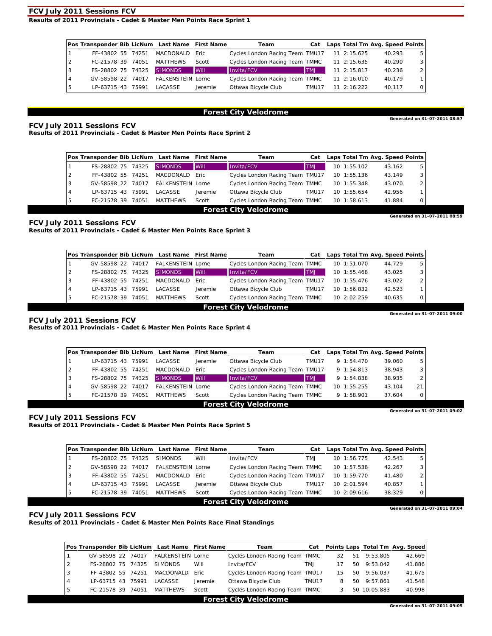**Results of 2011 Provincials - Cadet & Master Men Points Race Sprint 1** 

| Pos Transponder Bib LicNum Last Name First Name |       |                          |             | Team                            |             | Cat Laps Total Tm Avg. Speed Points |        |   |
|-------------------------------------------------|-------|--------------------------|-------------|---------------------------------|-------------|-------------------------------------|--------|---|
| FF-43802 55 74251                               |       | MACDONALD                | Eric.       | Cycles London Racing Team TMU17 |             | 11 2:15.625                         | 40.293 |   |
| FC-21578 39                                     | 74051 | MATTHEWS                 | Scott       | Cycles London Racing Team TMMC  |             | 11 2:15.635                         | 40.290 | 3 |
| FS-28802 75                                     | 74325 | <b>SIMONDS</b>           | <b>Will</b> | Invita/FCV                      | <b>LINT</b> | 11 2:15.817                         | 40.236 |   |
| GV-58598 22                                     | 74017 | <b>FALKENSTEIN Lorne</b> |             | Cycles London Racing Team TMMC  |             | 11 2:16.010                         | 40.179 |   |
| LP-63715 43                                     | 75991 | <b>LACASSE</b>           | Jeremie     | Ottawa Bicycle Club             | TMU17       | $11 \t2.16$ 222                     | 40.117 | 0 |

# **Forest City Velodrome**<br> **Generated on 31-07-2011 08:57**

**FCV July 2011 Sessions FCV** 

**Results of 2011 Provincials - Cadet & Master Men Points Race Sprint 2** 

|                |                   |       | Pos Transponder Bib LicNum Last Name First Name |             | Team                            | Cat        |             |  |        | Laps Total Tm Avg. Speed Points |
|----------------|-------------------|-------|-------------------------------------------------|-------------|---------------------------------|------------|-------------|--|--------|---------------------------------|
|                | FS-28802 75       | 74325 | <b>SIMONDS</b>                                  | <b>Will</b> | Invita/FCV                      | <b>LMT</b> | 10 1:55.102 |  | 43.162 | 5                               |
| $\overline{2}$ | FF-43802 55 74251 |       | MACDONALD Fric                                  |             | Cycles London Racing Team TMU17 |            | 10 1:55.136 |  | 43.149 |                                 |
| l 3            | GV-58598 22       | 74017 | <b>FALKENSTEIN Lorne</b>                        |             | Cycles London Racing Team TMMC  |            | 10 1:55.348 |  | 43.070 |                                 |
| $\overline{4}$ | LP-63715 43       | 75991 | LACASSE                                         | Jeremie     | Ottawa Bicycle Club             | TMU17      | 10 1:55.654 |  | 42.956 |                                 |
| -5             | FC-21578 39       | 74051 | MATTHEWS                                        | Scott       | Cycles London Racing Team TMMC  |            | 10 1:58.613 |  | 41.884 | 0                               |
|                |                   |       |                                                 |             | <b>Forest City Velodrome</b>    |            |             |  |        |                                 |
|                |                   |       |                                                 |             |                                 |            |             |  |        | Generated on 31-07-2011 08:59   |

#### **FCV July 2011 Sessions FCV**

**Results of 2011 Provincials - Cadet & Master Men Points Race Sprint 3** 

|   | Pos Transponder Bib LicNum Last Name First Name |       |                          |             | Team                            | Cat        | Laps Total Tm Avg. Speed Points |        |                               |
|---|-------------------------------------------------|-------|--------------------------|-------------|---------------------------------|------------|---------------------------------|--------|-------------------------------|
|   | GV-58598 22                                     | 74017 | <b>FALKENSTEIN Lorne</b> |             | Cycles London Racing Team TMMC  |            | 10 1:51.070                     | 44.729 | 5                             |
| 2 | FS-28802 75 74325                               |       | <b>SIMONDS</b>           | <b>Will</b> | Invita/FCV                      | <b>LMT</b> | 10 1:55.468                     | 43.025 |                               |
| 3 | FF-43802 55 74251                               |       | MACDONALD                | Eric.       | Cycles London Racing Team TMU17 |            | 10 1:55.476                     | 43.022 |                               |
| 4 | LP-63715 43                                     | 75991 | LACASSE                  | Jeremie     | Ottawa Bicycle Club             | TMU17      | 10, 1:56.832                    | 42.523 |                               |
| 5 | FC-21578 39                                     | 74051 | <b>MATTHEWS</b>          | Scott       | Cycles London Racing Team TMMC  |            | 10 2:02.259                     | 40.635 |                               |
|   |                                                 |       |                          |             | <b>Forest City Velodrome</b>    |            |                                 |        |                               |
|   |                                                 |       |                          |             |                                 |            |                                 |        | Generated on 31-07-2011 09:00 |

#### **FCV July 2011 Sessions FCV**

**Results of 2011 Provincials - Cadet & Master Men Points Race Sprint 4** 

| Pos Transponder Bib LicNum Last Name First Name |       |                          |         | Team                            | Cat        |                | Laps Total Tm Avg. Speed Points |    |
|-------------------------------------------------|-------|--------------------------|---------|---------------------------------|------------|----------------|---------------------------------|----|
| LP-63715 43                                     | 75991 | LACASSE                  | Jeremie | Ottawa Bicycle Club             | TMU17      | $9 \t1:54.470$ | 39.060                          | 5  |
| FF-43802 55                                     | 74251 | <b>MACDONALD</b>         | Eric.   | Cycles London Racing Team TMU17 |            | 9 1:54.813     | 38.943                          |    |
| FS-28802 75                                     | 74325 | <b>SIMONDS</b>           | Will    | Invita/FCV                      | <b>TMJ</b> | 9 1:54.838     | 38.935                          |    |
| GV-58598 22                                     | 74017 | <b>FALKENSTEIN Lorne</b> |         | Cycles London Racing Team TMMC  |            | 10 1:55.255    | 43.104                          | 21 |
| FC-21578 39                                     | 74051 | MATTHEWS                 | Scott   | Cycles London Racing Team TMMC  |            | 9 1:58.901     | 37.604                          |    |

**Forest City Velodrome**<br>
Generated on 31-07-2011 09:02

**FCV July 2011 Sessions FCV Results of 2011 Provincials - Cadet & Master Men Points Race Sprint 5** 

|                | Pos Transponder Bib LicNum Last Name First Name |       |                          |         | Team                            | Cat   |              | Laps Total Tm Avg. Speed Points |                               |
|----------------|-------------------------------------------------|-------|--------------------------|---------|---------------------------------|-------|--------------|---------------------------------|-------------------------------|
|                | FS-28802 75                                     | 74325 | <b>SIMONDS</b>           | Will    | Invita/FCV                      | TM.J  | 10.1:56.775  | 42.543                          | 5                             |
| $\overline{2}$ | GV-58598 22 74017                               |       | <b>FALKENSTEIN Lorne</b> |         | Cycles London Racing Team TMMC  |       | 10 1:57.538  | 42.267                          |                               |
| 3              | FF-43802 55 74251                               |       | MACDONALD                | Eric.   | Cycles London Racing Team TMU17 |       | 10 1:59.770  | 41.480                          |                               |
| 4              | LP-63715 43                                     | 75991 | LACASSE                  | Jeremie | Ottawa Bicycle Club             | TMU17 | 10, 2:01.594 | 40.857                          |                               |
| 5              | FC-21578 39                                     | 74051 | <b>MATTHEWS</b>          | Scott   | Cycles London Racing Team TMMC  |       | 10 2:09.616  | 38.329                          |                               |
|                |                                                 |       |                          |         | <b>Forest City Velodrome</b>    |       |              |                                 |                               |
|                |                                                 |       |                          |         |                                 |       |              |                                 | Generated on 31-07-2011 09:04 |

#### **FCV July 2011 Sessions FCV**

**Results of 2011 Provincials - Cadet & Master Men Points Race Final Standings** 

|   |                   |       | Pos Transponder Bib LicNum Last Name First Name |         | Team                            |       |    |    |              | Cat Points Laps Total Tm Avg. Speed |
|---|-------------------|-------|-------------------------------------------------|---------|---------------------------------|-------|----|----|--------------|-------------------------------------|
|   | GV-58598 22 74017 |       | <b>FALKENSTEIN Lorne</b>                        |         | Cycles London Racing Team TMMC  |       | 32 | 51 | 9:53.805     | 42.669                              |
| 2 | FS-28802 75 74325 |       | <b>SIMONDS</b>                                  | Will    | Invita/FCV                      | TMJ   |    | 50 | 9:53.042     | 41.886                              |
| 3 | FF-43802 55 74251 |       | MACDONALD                                       | Eric.   | Cycles London Racing Team TMU17 |       | 15 | 50 | 9:56.037     | 41.675                              |
| 4 | LP-63715 43       | 75991 | LACASSE                                         | Jeremie | Ottawa Bicycle Club             | TMU17 |    | 50 | 9:57.861     | 41.548                              |
|   | FC-21578 39       | 74051 | <b>MATTHEWS</b>                                 | Scott   | Cycles London Racing Team TMMC  |       |    |    | 50 10:05.883 | 40.998                              |
|   |                   |       |                                                 |         | Found Oily Maladuance           |       |    |    |              |                                     |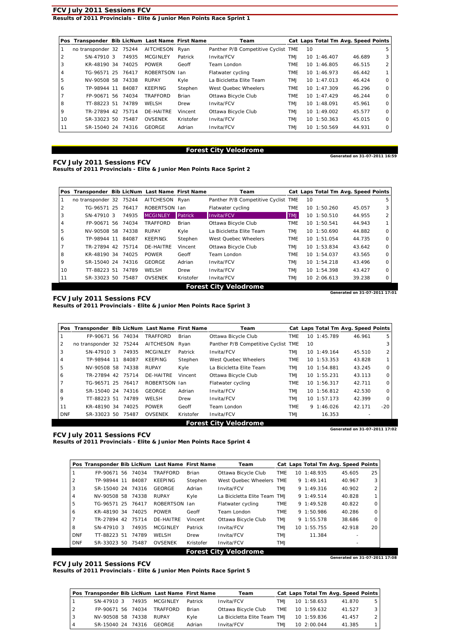#### **FCV July 2011 Sessions FCV Results of 2011 Provincials - Elite & Junior Men Points Race Sprint 1**

|    | Pos Transponder Bib LicNum Last Name First Name |       |                 |           | Team                                |            |    | Cat Laps Total Tm Avg. Speed Points |        |   |
|----|-------------------------------------------------|-------|-----------------|-----------|-------------------------------------|------------|----|-------------------------------------|--------|---|
|    | no transponder 32 75244                         |       | AITCHESON Ryan  |           | Panther P/B Competitive Cyclist TME |            | 10 |                                     |        | 5 |
|    | SN-47910 3                                      | 74935 | <b>MCGINLEY</b> | Patrick   | Invita/FCV                          | <b>LMT</b> |    | 10 1:46.407                         | 46.689 | 3 |
| 3  | KR-48190 34 74025                               |       | <b>POWER</b>    | Geoff     | Team London                         | TME        |    | 10 1:46.805                         | 46.515 | 2 |
| 4  | TG-96571 25                                     | 76417 | ROBERTSON Jan   |           | Flatwater cycling                   | TME        |    | 10 1:46.973                         | 46.442 |   |
| 5  | NV-90508 58                                     | 74338 | <b>RUPAY</b>    | Kyle      | La Bicicletta Elite Team            | <b>TMJ</b> |    | $10 \t1:47.013$                     | 46.424 | 0 |
| 6  | TP-98944 11                                     | 84087 | <b>KEEPING</b>  | Stephen   | West Ouebec Wheelers                | TME        |    | 10, 1:47.309                        | 46.296 | 0 |
|    | FP-90671 56                                     | 74034 | TRAFFORD        | Brian     | Ottawa Bicycle Club                 | TME        |    | $10 \t1:47.429$                     | 46.244 | 0 |
| 8  | TT-88223 51                                     | 74789 | WELSH           | Drew      | Invita/FCV                          | <b>LMT</b> |    | 10 1:48.091                         | 45.961 | 0 |
| 9  | TR-27894 42                                     | 75714 | DE-HAITRE       | Vincent   | Ottawa Bicycle Club                 | <b>LMT</b> |    | 10, 1:49.002                        | 45.577 | 0 |
| 10 | SR-33023 50                                     | 75487 | <b>OVSENEK</b>  | Kristofer | Invita/FCV                          | <b>LMT</b> |    | 10 1:50.363                         | 45.015 | 0 |
| 11 | SR-15040 24                                     | 74316 | GEORGE          | Adrian    | Invita/FCV                          | <b>LMT</b> |    | 10 1:50.569                         | 44.931 | 0 |

# **Forest City Velodrome**<br>Generated on 31-07-2011 16:59

**FCV July 2011 Sessions FCV Results of 2011 Provincials - Elite & Junior Men Points Race Sprint 2** 

|    | Pos Transponder Bib LicNum Last Name First Name |       |                  |              | Team                                |            |    |             | Cat Laps Total Tm Avg. Speed Points |          |
|----|-------------------------------------------------|-------|------------------|--------------|-------------------------------------|------------|----|-------------|-------------------------------------|----------|
|    | no transponder 32 75244                         |       | <b>AITCHESON</b> | Rvan         | Panther P/B Competitive Cyclist TME |            | 10 |             |                                     | 5        |
| 2  | TG-96571 25                                     | 76417 | ROBERTSON Ian    |              | Flatwater cycling                   | <b>TME</b> |    | 10 1:50.260 | 45.057                              | 3        |
| 3  | SN-47910 3                                      | 74935 | <b>MCGINLEY</b>  | Patrick      | Invita/FCV                          | <b>LMT</b> |    | 10 1:50.510 | 44.955                              | 2        |
| 4  | FP-90671 56 74034                               |       | TRAFFORD         | <b>Brian</b> | Ottawa Bicycle Club                 | <b>TME</b> |    | 10 1:50.541 | 44.943                              |          |
| 5  | NV-90508 58 74338                               |       | <b>RUPAY</b>     | Kyle         | La Bicicletta Elite Team            | <b>TMJ</b> |    | 10 1:50.690 | 44.882                              | $\Omega$ |
| 6  | TP-98944 11                                     | 84087 | <b>KEEPING</b>   | Stephen      | West Quebec Wheelers                | <b>TME</b> |    | 10.1:51.054 | 44.735                              | $\Omega$ |
|    | TR-27894 42 75714                               |       | DE-HAITRE        | Vincent      | Ottawa Bicycle Club                 | <b>TMJ</b> |    | 10 1:53.834 | 43.642                              | 0        |
| 8  | KR-48190 34 74025                               |       | <b>POWER</b>     | Geoff        | Team London                         | <b>TME</b> |    | 10 1:54.037 | 43.565                              | $\Omega$ |
| 9  | SR-15040 24 74316                               |       | GEORGE           | Adrian       | Invita/FCV                          | <b>TMJ</b> |    | 10 1:54.218 | 43.496                              | $\Omega$ |
| 10 | TT-88223 51                                     | 74789 | WELSH            | Drew         | Invita/FCV                          | <b>TMJ</b> |    | 10 1:54.398 | 43.427                              | $\Omega$ |
| 11 | SR-33023 50                                     | 75487 | <b>OVSENEK</b>   | Kristofer    | Invita/FCV                          | <b>TMJ</b> |    | 10 2:06.613 | 39.238                              | $\Omega$ |
|    |                                                 |       |                  |              | <b>Forest City Velodrome</b>        |            |    |             |                                     |          |
|    |                                                 |       |                  |              |                                     |            |    |             | Generated on 31-07-2011 17:0        |          |

**FCV July 2011 Sessions FCV** 

**Results of 2011 Provincials - Elite & Junior Men Points Race Sprint 3** 

|            | Pos Transponder Bib LicNum Last Name First Name |    |       |                  |              | Team                                |            |    | Cat Laps Total Tm Avg. Speed Points |                               |          |
|------------|-------------------------------------------------|----|-------|------------------|--------------|-------------------------------------|------------|----|-------------------------------------|-------------------------------|----------|
|            | FP-90671                                        | 56 | 74034 | <b>TRAFFORD</b>  | <b>Brian</b> | Ottawa Bicycle Club                 | TME        |    | 10 1:45.789                         | 46.961                        | 5        |
| 2          | no transponder 32                               |    | 75244 | <b>AITCHESON</b> | Ryan         | Panther P/B Competitive Cyclist TME |            | 10 |                                     |                               | 3        |
| 3          | SN-47910 3                                      |    | 74935 | <b>MCGINLEY</b>  | Patrick      | Invita/FCV                          | <b>LMT</b> |    | $10 \t1:49.164$                     | 45.510                        | 2        |
| 4          | TP-98944 11                                     |    | 84087 | <b>KEEPING</b>   | Stephen      | West Quebec Wheelers                | <b>TME</b> |    | $10 \quad 1:53.353$                 | 43.828                        |          |
| 5          | NV-90508 58                                     |    | 74338 | <b>RUPAY</b>     | Kyle         | La Bicicletta Elite Team            | <b>TMJ</b> |    | 10 1:54.881                         | 43.245                        | $\Omega$ |
| 6          | TR-27894 42                                     |    | 75714 | DE-HAITRE        | Vincent      | Ottawa Bicycle Club                 | <b>LMT</b> |    | 10 1:55.231                         | 43.113                        | $\Omega$ |
|            | TG-96571 25                                     |    | 76417 | ROBERTSON Jan    |              | Flatwater cycling                   | <b>TME</b> |    | 10 1:56.317                         | 42.711                        | 0        |
| 8          | SR-15040 24                                     |    | 74316 | GEORGE           | Adrian       | Invita/FCV                          | <b>LMT</b> |    | 10 1:56.812                         | 42.530                        | 0        |
| 9          | TT-88223 51                                     |    | 74789 | WELSH            | Drew         | Invita/FCV                          | <b>LMT</b> |    | $10$ $1:57.173$                     | 42.399                        | $\Omega$ |
| 11         | KR-48190 34                                     |    | 74025 | <b>POWER</b>     | Geoff        | Team London                         | TME        |    | $9 \t1:46.026$                      | 42.171                        | $-20$    |
| <b>DNF</b> | SR-33023 50                                     |    | 75487 | <b>OVSENEK</b>   | Kristofer    | Invita/FCV                          | <b>LMT</b> |    | 16.353                              |                               |          |
|            |                                                 |    |       |                  |              | <b>Forest City Velodrome</b>        |            |    |                                     |                               |          |
|            |                                                 |    |       |                  |              |                                     |            |    |                                     | Generated on 31-07-2011 17:02 |          |

**FCV July 2011 Sessions FCV Results of 2011 Provincials - Elite & Junior Men Points Race Sprint 4** 

|                | Pos Transponder Bib LicNum Last Name First Name |       |                 |           | Team                         |            |                     | Cat Laps Total Tm Avg. Speed Points |    |
|----------------|-------------------------------------------------|-------|-----------------|-----------|------------------------------|------------|---------------------|-------------------------------------|----|
|                | FP-90671 56                                     | 74034 | <b>TRAFFORD</b> | Brian     | Ottawa Bicycle Club          | <b>TME</b> | 10 1:48.935         | 45.605                              | 25 |
| $\overline{2}$ | TP-98944 11                                     | 84087 | KEEPING         | Stephen   | West Ouebec Wheelers TME     |            | $9 \t1:49.141$      | 40.967                              | 3  |
| 3              | SR-15040 24                                     | 74316 | GEORGE          | Adrian    | Invita/FCV                   | <b>LMT</b> | $9 \t1: 49.316$     | 40.902                              | 2  |
| 4              | NV-90508 58                                     | 74338 | <b>RUPAY</b>    | Kyle      | La Bicicletta Elite Team TMJ |            | $9 \t1:49.514$      | 40.828                              |    |
| 5              | TG-96571 25                                     | 76417 | ROBERTSON Ian   |           | Flatwater cycling            | <b>TME</b> | $9 \t1:49.528$      | 40.822                              | 0  |
| 6              | KR-48190 34                                     | 74025 | <b>POWER</b>    | Geoff     | Team London                  | <b>TME</b> | 9 1:50.986          | 40.286                              | 0  |
| 7              | TR-27894 42                                     | 75714 | DE-HAITRE       | Vincent   | Ottawa Bicycle Club          | <b>LMT</b> | 9 1:55.578          | 38.686                              | 0  |
| 8              | SN-47910 3                                      | 74935 | <b>MCGINLEY</b> | Patrick   | Invita/FCV                   | <b>LMT</b> | $10 \quad 1:55.755$ | 42.918                              | 20 |
| <b>DNF</b>     | TT-88223 51                                     | 74789 | WELSH           | Drew      | Invita/FCV                   | TM.J       | 11.384              |                                     |    |
| <b>DNF</b>     | SR-33023 50                                     | 75487 | <b>OVSENEK</b>  | Kristofer | Invita/FCV                   | <b>TMJ</b> |                     |                                     |    |
|                |                                                 |       |                 |           | <b>Forest City Velodrome</b> |            |                     |                                     |    |
|                |                                                 |       |                 |           |                              |            |                     | Generated on 31-07-2011 17:08       |    |

#### **FCV July 2011 Sessions FCV**

**Results of 2011 Provincials - Elite & Junior Men Points Race Sprint 5** 

|   | Pos Transponder Bib LicNum Last Name First Name |       |                 |         | Team                         |      |                 | Cat Laps Total Tm Avg. Speed Points |                |
|---|-------------------------------------------------|-------|-----------------|---------|------------------------------|------|-----------------|-------------------------------------|----------------|
|   | SN-47910 3                                      | 74935 | <b>MCGINLEY</b> | Patrick | Invita/FCV                   | TM.J | $10 \t1:58.653$ | 41.870                              | 5              |
| 2 | FP-90671 56 74034                               |       | TRAFFORD        | Brian   | Ottawa Bicycle Club          | TME  | 10 1:59.632     | 41.527                              | 3 I            |
| 3 | NV-90508 58 74338                               |       | RUPAY           | Kvle    | La Bicicletta Elite Team TMJ |      | 10 1:59.836     | 41.457                              | 2 <sub>1</sub> |
|   | SR-15040 24                                     | 74316 | GEORGE          | Adrian  | Invita/FCV                   | TM.J | 10, 2:00.044    | 41.385                              |                |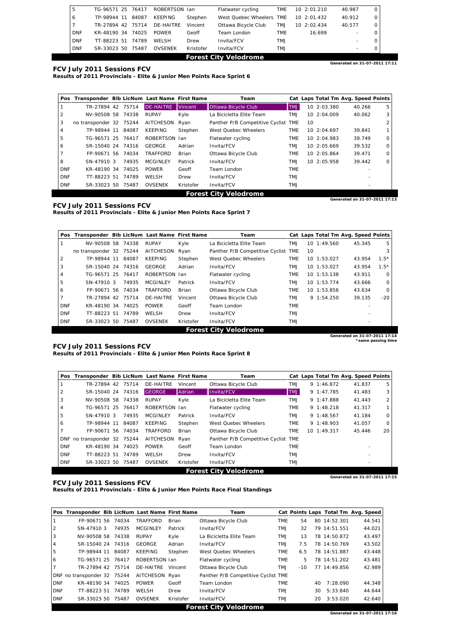| 5                            | TG-96571 25 76417 |  |       | ROBERTSON Ian  |           | Flatwater cycling        | <b>TME</b> |  | 10 2:01.210  | 40.987                        |                          | 0 |
|------------------------------|-------------------|--|-------|----------------|-----------|--------------------------|------------|--|--------------|-------------------------------|--------------------------|---|
| 6                            | TP-98944 11       |  | 84087 | KEEPING        | Stephen   | West Ouebec Wheelers TME |            |  | 10, 2:01.432 | 40.912                        |                          | 0 |
|                              | TR-27894 42       |  | 75714 | DE-HAITRE      | Vincent   | Ottawa Bicycle Club      | TM.J       |  | 10, 2:02.434 | 40.577                        |                          |   |
| <b>DNF</b>                   | KR-48190 34       |  | 74025 | <b>POWER</b>   | Geoff     | Team London              | <b>TME</b> |  | 16.699       |                               | $\overline{\phantom{0}}$ |   |
| <b>DNF</b>                   | TT-88223 51       |  | 74789 | WELSH          | Drew      | Invita/FCV               | TM.J       |  |              |                               | $\overline{\phantom{a}}$ |   |
| <b>DNF</b>                   | SR-33023 50       |  | 75487 | <b>OVSENEK</b> | Kristofer | Invita/FCV               | TM.J       |  |              |                               | $\overline{\phantom{0}}$ |   |
| <b>Forest City Velodrome</b> |                   |  |       |                |           |                          |            |  |              |                               |                          |   |
|                              |                   |  |       |                |           |                          |            |  |              | Generated on 31-07-2011 17:11 |                          |   |

**Results of 2011 Provincials - Elite & Junior Men Points Race Sprint 6** 

|            | Pos Transponder Bib LicNum Last Name First Name |       |                  |                | Team                                |            |    | Cat Laps Total Tm Avg. Speed Points |                          |                               |
|------------|-------------------------------------------------|-------|------------------|----------------|-------------------------------------|------------|----|-------------------------------------|--------------------------|-------------------------------|
|            | TR-27894 42                                     | 75714 | <b>DE-HAITRE</b> | <b>Vincent</b> | Ottawa Bicycle Club                 | <b>LMT</b> |    | 10 2:03.380                         | 40.266                   | 5                             |
| 2          | NV-90508 58 74338                               |       | <b>RUPAY</b>     | Kyle           | La Bicicletta Elite Team            | <b>TMJ</b> |    | 10, 2:04.009                        | 40.062                   | 3                             |
| 3          | no transponder 32 75244                         |       | <b>AITCHESON</b> | Ryan           | Panther P/B Competitive Cyclist TME |            | 10 |                                     |                          |                               |
| 4          | TP-98944 11                                     | 84087 | <b>KEEPING</b>   | Stephen        | West Ouebec Wheelers                | <b>TME</b> |    | 10, 2:04.697                        | 39.841                   |                               |
| 5          | TG-96571 25 76417                               |       | ROBERTSON Ian    |                | Flatwater cycling                   | <b>TME</b> |    | 10 2:04.983                         | 39.749                   | $\Omega$                      |
| 6          | SR-15040 24 74316                               |       | GEORGE           | Adrian         | Invita/FCV                          | <b>TMJ</b> |    | 10 2:05.669                         | 39.532                   | $\Omega$                      |
|            | FP-90671 56 74034                               |       | TRAFFORD         | Brian          | Ottawa Bicycle Club                 | <b>TME</b> |    | 10, 2:05.864                        | 39.471                   | $\Omega$                      |
| 8          | SN-47910 3                                      | 74935 | <b>MCGINLEY</b>  | Patrick        | Invita/FCV                          | <b>LMT</b> |    | 10, 2:05.958                        | 39.442                   | $\Omega$                      |
| <b>DNF</b> | KR-48190 34 74025                               |       | <b>POWER</b>     | Geoff          | Team London                         | <b>TME</b> |    |                                     |                          |                               |
| <b>DNF</b> | TT-88223 51                                     | 74789 | WELSH            | Drew           | Invita/FCV                          | TM.J       |    |                                     |                          |                               |
| <b>DNF</b> | SR-33023 50                                     | 75487 | <b>OVSENEK</b>   | Kristofer      | Invita/FCV                          | <b>LMT</b> |    |                                     | $\overline{\phantom{a}}$ |                               |
|            |                                                 |       |                  |                | <b>Forest City Velodrome</b>        |            |    |                                     |                          |                               |
|            |                                                 |       |                  |                |                                     |            |    |                                     |                          | Generated on 31-07-2011 17:13 |

**FCV July 2011 Sessions FCV Results of 2011 Provincials - Elite & Junior Men Points Race Sprint 7** 

| Pos        | Transponder Bib LicNum Last Name First Name |       |                  |           | Team                            |            |    |              | Cat Laps Total Tm Avg. Speed Points |         |
|------------|---------------------------------------------|-------|------------------|-----------|---------------------------------|------------|----|--------------|-------------------------------------|---------|
|            | NV-90508 58                                 | 74338 | <b>RUPAY</b>     | Kyle      | La Bicicletta Elite Team        | <b>TMJ</b> |    | 10, 1:49.560 | 45.345                              | 5       |
|            | no transponder 32 75244                     |       | <b>AITCHESON</b> | Ryan      | Panther P/B Competitive Cyclist | TME        | 10 |              |                                     | 3       |
| 2          | TP-98944 11                                 | 84087 | KEEPING          | Stephen   | West Ouebec Wheelers            | <b>TME</b> |    | 10 1:53.027  | 43.954                              | $1.5*$  |
| 3          | SR-15040 24                                 | 74316 | GEORGE           | Adrian    | Invita/FCV                      | <b>TMJ</b> |    | 10 1:53.027  | 43.954                              | $1.5*$  |
| 4          | TG-96571 25                                 | 76417 | <b>ROBERTSON</b> | -lan      | Flatwater cycling               | <b>TME</b> |    | 10 1:53.138  | 43.911                              | $\circ$ |
| 5          | SN-47910 3                                  | 74935 | <b>MCGINLEY</b>  | Patrick   | Invita/FCV                      | <b>TMJ</b> |    | 10 1:53.774  | 43.666                              | $\circ$ |
| 6          | FP-90671 56 74034                           |       | <b>TRAFFORD</b>  | Brian     | Ottawa Bicycle Club             | TME        |    | 10 1:53.856  | 43.634                              | $\circ$ |
|            | TR-27894 42 75714                           |       | DE-HAITRE        | Vincent   | Ottawa Bicycle Club             | <b>TMJ</b> |    | 9 1:54.250   | 39.135                              | $-20$   |
| <b>DNF</b> | KR-48190 34 74025                           |       | <b>POWER</b>     | Geoff     | Team London                     | <b>TME</b> |    |              |                                     |         |
| <b>DNF</b> | TT-88223 51                                 | 74789 | WELSH            | Drew      | Invita/FCV                      | TMJ        |    |              |                                     |         |
| <b>DNF</b> | SR-33023 50                                 | 75487 | <b>OVSENEK</b>   | Kristofer | Invita/FCV                      | <b>TMJ</b> |    |              |                                     |         |

**Forest City Velodrome Generated on 31-07-2011 17:14 \*same passing time** 

#### **FCV July 2011 Sessions FCV**

**Results of 2011 Provincials - Elite & Junior Men Points Race Sprint 8** 

| Pos        | Transponder Bib LicNum Last Name First Name |       |                  |              | Team                                |            | Cat Laps Total Tm Avg. Speed Points |        |          |
|------------|---------------------------------------------|-------|------------------|--------------|-------------------------------------|------------|-------------------------------------|--------|----------|
|            | TR-27894 42 75714                           |       | DE-HAITRE        | Vincent      | Ottawa Bicycle Club                 | <b>TMJ</b> | $9 \t1:46.872$                      | 41.837 | 5        |
| 2          | SR-15040 24                                 | 74316 | <b>GEORGE</b>    | Adrian       | Invita/FCV                          | <b>TMJ</b> | 9 1:47.785                          | 41.483 | 3        |
| 3          | NV-90508 58                                 | 74338 | <b>RUPAY</b>     | Kyle         | La Bicicletta Elite Team            | <b>TMJ</b> | $9 \t1: 47.888$                     | 41.443 | 2        |
| 4          | TG-96571 25                                 | 76417 | ROBERTSON Ian    |              | Flatwater cycling                   | <b>TME</b> | $9 \t1:48.218$                      | 41.317 |          |
| 5          | SN-47910 3                                  | 74935 | <b>MCGINLEY</b>  | Patrick      | Invita/FCV                          | <b>TMJ</b> | 91:48.567                           | 41.184 | $\Omega$ |
| 6          | TP-98944 11                                 | 84087 | <b>KEEPING</b>   | Stephen      | West Quebec Wheelers                | <b>TME</b> | $9 \t1:48.903$                      | 41.057 | $\Omega$ |
|            | FP-90671 56 74034                           |       | TRAFFORD         | <b>Brian</b> | Ottawa Bicycle Club                 | <b>TME</b> | 10 1:49.317                         | 45.446 | 20       |
|            | DNF no transponder 32 75244                 |       | <b>AITCHESON</b> | Ryan         | Panther P/B Competitive Cyclist TME |            |                                     |        |          |
| <b>DNF</b> | KR-48190 34 74025                           |       | <b>POWER</b>     | Geoff        | Team London                         | <b>TME</b> |                                     |        |          |
| <b>DNF</b> | TT-88223 51                                 | 74789 | WELSH            | Drew         | Invita/FCV                          | TM.J       |                                     |        |          |
| <b>DNF</b> | SR-33023 50                                 | 75487 | <b>OVSENEK</b>   | Kristofer    | Invita/FCV                          | <b>TMJ</b> |                                     |        |          |
|            |                                             |       |                  |              | <b>Forest City Velodrome</b>        |            |                                     |        |          |
|            |                                             |       |                  |              |                                     |            | Generated on 31-07-2011 17:15       |        |          |

**FCV July 2011 Sessions FCV** 

**Results of 2011 Provincials - Elite & Junior Men Points Race Final Standings** 

|                | Pos Transponder Bib LicNum Last Name First Name |       |                 |              | Team                                |            |       |    |              | Cat Points Laps Total Tm Avg. Speed |
|----------------|-------------------------------------------------|-------|-----------------|--------------|-------------------------------------|------------|-------|----|--------------|-------------------------------------|
|                | FP-90671 56                                     | 74034 | <b>TRAFFORD</b> | <b>Brian</b> | Ottawa Bicycle Club                 | <b>TME</b> | 54    |    | 80 14:52.301 | 44.541                              |
| 2              | SN-479103                                       | 74935 | <b>MCGINLEY</b> | Patrick      | Invita/FCV                          | <b>LMT</b> | 32    |    | 79 14:51.551 | 44.021                              |
| 3              | NV-90508 58                                     | 74338 | RUPAY           | Kyle         | La Bicicletta Elite Team            | <b>LMT</b> | 13    |    | 78 14:50.872 | 43.497                              |
| 4              | SR-15040 24 74316                               |       | GEORGE          | Adrian       | Invita/FCV                          | <b>LMT</b> | 7.5   |    | 78 14:50.769 | 43.502                              |
| 5              | TP-98944 11                                     | 84087 | <b>KEEPING</b>  | Stephen      | West Ouebec Wheelers                | <b>TME</b> | 6.5   |    | 78 14:51.887 | 43.448                              |
| 6              | TG-96571 25                                     | 76417 | ROBERTSON Jan   |              | Flatwater cycling                   | <b>TME</b> | 5     |    | 78 14:51.202 | 43.481                              |
| $\overline{7}$ | TR-27894 42 75714                               |       | DE-HAITRE       | Vincent      | Ottawa Bicycle Club                 | <b>LMT</b> | $-10$ |    | 77 14:49.856 | 42.989                              |
|                | DNF no transponder 32 75244                     |       | AITCHESON Ryan  |              | Panther P/B Competitive Cyclist TME |            |       |    |              |                                     |
| <b>DNF</b>     | KR-48190 34                                     | 74025 | <b>POWER</b>    | Geoff        | Team London                         | <b>TME</b> |       | 40 | 7:28.090     | 44.348                              |
| <b>DNF</b>     | TT-88223 51                                     | 74789 | WELSH           | Drew         | Invita/FCV                          | TM.J       |       | 30 | 5:33.840     | 44.644                              |
| <b>DNF</b>     | SR-33023 50                                     | 75487 | <b>OVSENEK</b>  | Kristofer    | Invita/FCV                          | <b>LMT</b> |       | 20 | 3:53.020     | 42.640                              |
|                |                                                 |       |                 |              | <b>Forest City Velodrome</b>        |            |       |    |              |                                     |
|                |                                                 |       |                 |              |                                     |            |       |    |              | Generated on 31-07-2011 17:16       |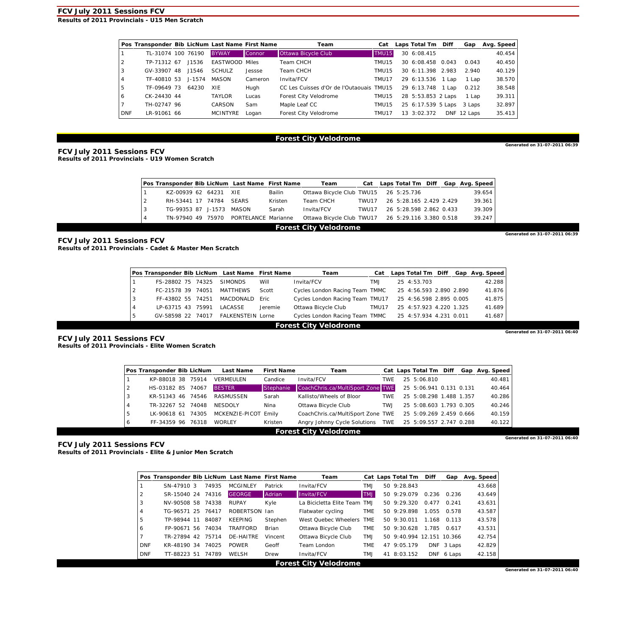**Results of 2011 Provincials - U15 Men Scratch** 

|                | Pos Transponder Bib LicNum Last Name First Name |            |                       |         | Team                                     | Cat   | Laps Total Tm Diff |            | Gap     | Avg. Speed |
|----------------|-------------------------------------------------|------------|-----------------------|---------|------------------------------------------|-------|--------------------|------------|---------|------------|
|                | TL-31074 100 76190                              |            | <b>BYWAY</b>          | Connor  | Ottawa Bicycle Club                      | TMU15 | 30 6:08.415        |            |         | 40.454     |
|                | TP-71312 67                                     | J1536      | <b>EASTWOOD Miles</b> |         | Team CHCH                                | TMU15 | 30 6:08.458 0.043  |            | 0.043   | 40.450     |
| 3              | GV-33907 48                                     | J1546      | <b>SCHULZ</b>         | Jessse  | Team CHCH                                | TMU15 | 30 6:11.398        | 2.983      | 2.940   | 40.129     |
| $\overline{4}$ | TF-40810 53                                     | $J - 1574$ | MASON                 | Cameron | Invita/FCV                               | TMU17 | 29 6:13.536        | 1 Lap      | 1 Lap   | 38.570     |
| -5             | TF-09649 73                                     | 64230      | XIE                   | Hugh    | CC Les Cuisses d'Or de l'Outaouais TMU15 |       | 29 6:13.748        | 1 Lap      | 0.212   | 38.548     |
| 6              | CK-24430 44                                     |            | <b>TAYLOR</b>         | Lucas   | Forest City Velodrome                    | TMU15 | 28 5:53.853 2 Laps |            | 1 Lap   | 39.311     |
|                | TH-02747 96                                     |            | CARSON                | Sam     | Maple Leaf CC                            | TMU15 | 25 6:17.539 5 Laps |            | 3 Laps  | 32.897     |
| <b>DNF</b>     | LR-91061 66                                     |            | <b>MCINTYRE</b>       | Logan   | Forest City Velodrome                    | TMU17 | 13 3:02.372        | <b>DNF</b> | 12 Laps | 35.413     |

#### **Forest City Velodrome**

**Generated on 31-07-2011 06:39** 

**Generated on 31-07-2011 06:39** 

**FCV July 2011 Sessions FCV Results of 2011 Provincials - U19 Women Scratch** 

|   | Pos Transponder Bib LicNum Last Name First Name |  |  |                     |         | Team                                              |       |  |                         |  |  | Cat Laps Total Tm Diff Gap Avg. Speed |
|---|-------------------------------------------------|--|--|---------------------|---------|---------------------------------------------------|-------|--|-------------------------|--|--|---------------------------------------|
|   | KZ-00939 62 64231                               |  |  | XIE                 | Bailin  | Ottawa Bicycle Club TWU15 26 5:25.736             |       |  |                         |  |  | 39.654                                |
|   | RH-53441 17 74784                               |  |  | <b>SEARS</b>        | Kristen | Team CHCH                                         | TWU17 |  | 26 5:28.165 2.429 2.429 |  |  | 39.361                                |
|   | TG-99353 87 J-1573                              |  |  | MASON               | Sarah   | Invita/FCV                                        | TWU17 |  | 26 5:28.598 2.862 0.433 |  |  | 39.309                                |
| 4 | TN-97940 49 75970                               |  |  | PORTELANCE Marianne |         | Ottawa Bicycle Club TWU17 26 5:29.116 3.380 0.518 |       |  |                         |  |  | 39.247                                |
|   | <b>Forest City Velodrome</b>                    |  |  |                     |         |                                                   |       |  |                         |  |  |                                       |

**FCV July 2011 Sessions FCV Results of 2011 Provincials - Cadet & Master Men Scratch** 

|   | Pos Transponder Bib LicNum Last Name First Name |  |       | Team                     |         |                                                        | Cat Laps Total Tm Diff Gap Avg. Speed |  |                         |  |  |        |
|---|-------------------------------------------------|--|-------|--------------------------|---------|--------------------------------------------------------|---------------------------------------|--|-------------------------|--|--|--------|
|   | FS-28802 75                                     |  | 74325 | <b>SIMONDS</b>           | Will    | Invita/FCV                                             | TM.J                                  |  | 25 4:53.703             |  |  | 42.288 |
|   | FC-21578 39                                     |  | 74051 | <b>MATTHEWS</b>          | Scott   | Cycles London Racing Team TMMC                         |                                       |  | 25 4:56.593 2.890 2.890 |  |  | 41.876 |
| 3 | FF-43802 55 74251                               |  |       | MACDONALD                | Eric.   | Cycles London Racing Team TMU17                        |                                       |  | 25 4:56.598 2.895 0.005 |  |  | 41.875 |
|   | LP-63715 43                                     |  | 75991 | LACASSE                  | Jeremie | Ottawa Bicycle Club                                    | TMU17                                 |  | 25 4:57.923 4.220 1.325 |  |  | 41.689 |
|   | GV-58598 22 74017                               |  |       | <b>FALKENSTEIN Lorne</b> |         | Cycles London Racing Team TMMC 25 4:57.934 4.231 0.011 |                                       |  |                         |  |  | 41.687 |
|   | <b>Forest City Velodrome</b>                    |  |       |                          |         |                                                        |                                       |  |                         |  |  |        |

**FCV July 2011 Sessions FCV Results of 2011 Provincials - Elite Women Scratch** 

| Generated on 31-07-2011 06:40 |  |  |  |
|-------------------------------|--|--|--|

|   | Pos Transponder Bib LicNum |       | <b>Last Name</b>     | <b>First Name</b> | Team                                                      |            | Cat Laps Total Tm Diff  |  | Gap Avg. Speed |
|---|----------------------------|-------|----------------------|-------------------|-----------------------------------------------------------|------------|-------------------------|--|----------------|
|   | KP-88018 38 75914          |       | VERMEULEN            | Candice           | Invita/FCV                                                | <b>TWE</b> | 25 5:06.810             |  | 40.481         |
|   | HS-03182 85 74067          |       | <b>BESTER</b>        | <b>IStephanie</b> | CoachChris.ca/MultiSport Zone TWE                         |            | 25 5:06.941 0.131 0.131 |  | 40.464         |
|   | KR-51343 46                | 74546 | RASMUSSEN            | Sarah             | Kallisto/Wheels of Bloor                                  | <b>TWE</b> | 25 5:08.298 1.488 1.357 |  | 40.286         |
|   | TR-32267 52 74048          |       | NESDOLY              | Nina              | Ottawa Bicycle Club                                       | TW.J       | 25 5:08.603 1.793 0.305 |  | 40.246         |
| 5 | LK-90618 61                | 74305 | MCKENZIE-PICOT Emily |                   | CoachChris.ca/MultiSport Zone TWE 25 5:09.269 2.459 0.666 |            |                         |  | 40.159         |
| 6 | FF-34359 96                | 76318 | WORLEY               | Kristen           | Angry Johnny Cycle Solutions TWE 25 5:09.557 2.747 0.288  |            |                         |  | 40.122         |

**Forest City Velodrome** 

**Generated on 31-07-2011 06:40** 

**FCV July 2011 Sessions FCV Results of 2011 Provincials - Elite & Junior Men Scratch** 

|            | Pos Transponder Bib LicNum Last Name First Name |       |                 |         | Team                         |            | Cat Laps Total Tm         | Diff  |            | Gap Avg. Speed |
|------------|-------------------------------------------------|-------|-----------------|---------|------------------------------|------------|---------------------------|-------|------------|----------------|
|            | SN-47910 3                                      | 74935 | <b>MCGINLEY</b> | Patrick | Invita/FCV                   | <b>LMT</b> | 50 9:28.843               |       |            | 43.668         |
| 2          | SR-15040 24                                     | 74316 | <b>GEORGE</b>   | Adrian  | Invita/FCV                   | <b>TMJ</b> | 50.9:29.079               | 0.236 | 0.236      | 43.649         |
| 3          | NV-90508 58                                     | 74338 | <b>RUPAY</b>    | Kyle    | La Bicicletta Elite Team TMJ |            | $50\,9:29.320$            | 0.477 | 0.241      | 43.631         |
| 4          | TG-96571 25                                     | 76417 | ROBERTSON Jan   |         | Flatwater cycling            | <b>TME</b> | $50\,9:29.898$            | 1.055 | 0.578      | 43.587         |
| 5          | TP-98944 11                                     | 84087 | KEEPING         | Stephen | West Ouebec Wheelers TME     |            | 50 9:30.011               | 1.168 | 0.113      | 43.578         |
| 6          | FP-90671 56 74034                               |       | <b>TRAFFORD</b> | Brian   | Ottawa Bicycle Club          | <b>TME</b> | 50 9:30.628               | 1.785 | 0.617      | 43.531         |
|            | TR-27894 42                                     | 75714 | DE-HAITRE       | Vincent | Ottawa Bicycle Club          | <b>TMJ</b> | 50 9:40.994 12.151 10.366 |       |            | 42.754         |
| <b>DNF</b> | KR-48190 34                                     | 74025 | <b>POWER</b>    | Geoff   | Team London                  | <b>TME</b> | 47 9:05.179               |       | DNF 3 Laps | 42.829         |
| <b>DNF</b> | TT-88223 51                                     | 74789 | WELSH           | Drew    | Invita/FCV                   | TM.J       | 41 8:03.152               |       | DNF 6 Laps | 42.158         |
|            |                                                 |       |                 |         | <b>Forest City Velodrome</b> |            |                           |       |            |                |

**Generated on 31-07-2011 06:40**